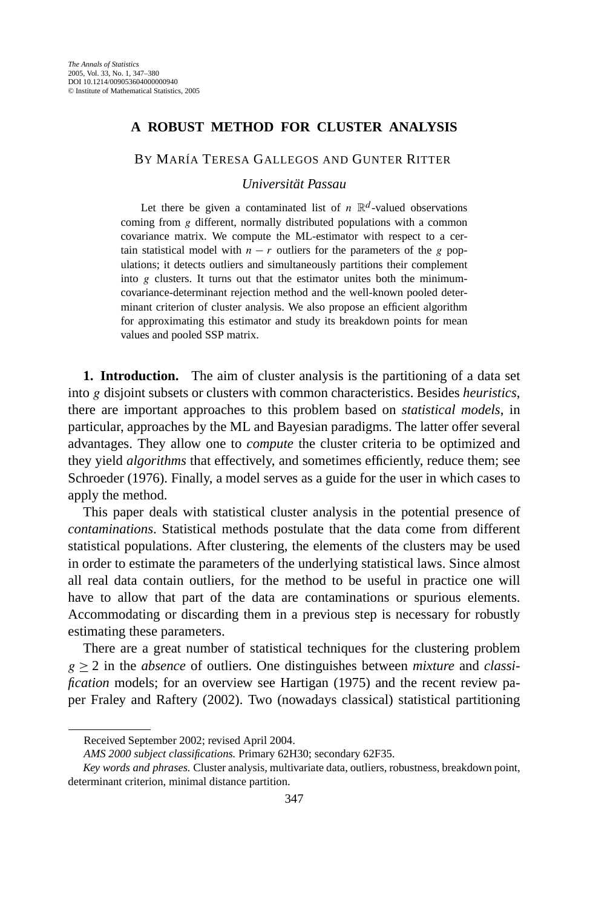## **A ROBUST METHOD FOR CLUSTER ANALYSIS**

BY MARÍA TERESA GALLEGOS AND GUNTER RITTER

*Universität Passau*

Let there be given a contaminated list of  $n \mathbb{R}^d$ -valued observations coming from *g* different, normally distributed populations with a common covariance matrix. We compute the ML-estimator with respect to a certain statistical model with  $n - r$  outliers for the parameters of the *g* populations; it detects outliers and simultaneously partitions their complement into *g* clusters. It turns out that the estimator unites both the minimumcovariance-determinant rejection method and the well-known pooled determinant criterion of cluster analysis. We also propose an efficient algorithm for approximating this estimator and study its breakdown points for mean values and pooled SSP matrix.

**1. Introduction.** The aim of cluster analysis is the partitioning of a data set into *g* disjoint subsets or clusters with common characteristics. Besides *heuristics*, there are important approaches to this problem based on *statistical models*, in particular, approaches by the ML and Bayesian paradigms. The latter offer several advantages. They allow one to *compute* the cluster criteria to be optimized and they yield *algorithms* that effectively, and sometimes efficiently, reduce them; see Schroeder (1976). Finally, a model serves as a guide for the user in which cases to apply the method.

This paper deals with statistical cluster analysis in the potential presence of *contaminations*. Statistical methods postulate that the data come from different statistical populations. After clustering, the elements of the clusters may be used in order to estimate the parameters of the underlying statistical laws. Since almost all real data contain outliers, for the method to be useful in practice one will have to allow that part of the data are contaminations or spurious elements. Accommodating or discarding them in a previous step is necessary for robustly estimating these parameters.

There are a great number of statistical techniques for the clustering problem  $g \ge 2$  in the *absence* of outliers. One distinguishes between *mixture* and *classification* models; for an overview see Hartigan (1975) and the recent review paper Fraley and Raftery (2002). Two (nowadays classical) statistical partitioning

Received September 2002; revised April 2004.

*AMS 2000 subject classifications.* Primary 62H30; secondary 62F35.

*Key words and phrases.* Cluster analysis, multivariate data, outliers, robustness, breakdown point, determinant criterion, minimal distance partition.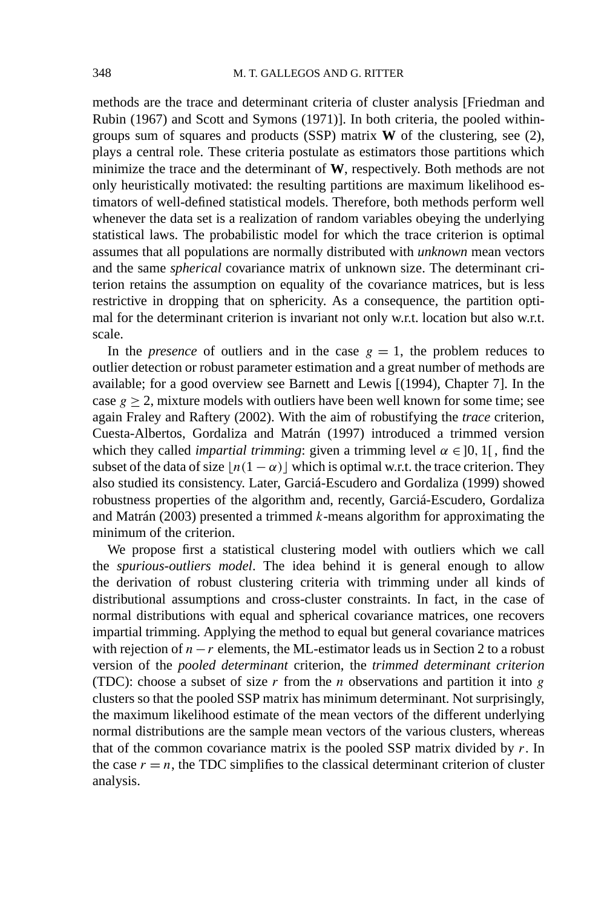methods are the trace and determinant criteria of cluster analysis [Friedman and Rubin (1967) and Scott and Symons (1971)]. In both criteria, the pooled withingroups sum of squares and products (SSP) matrix **W** of the clustering, see (2), plays a central role. These criteria postulate as estimators those partitions which minimize the trace and the determinant of **W**, respectively. Both methods are not only heuristically motivated: the resulting partitions are maximum likelihood estimators of well-defined statistical models. Therefore, both methods perform well whenever the data set is a realization of random variables obeying the underlying statistical laws. The probabilistic model for which the trace criterion is optimal assumes that all populations are normally distributed with *unknown* mean vectors and the same *spherical* covariance matrix of unknown size. The determinant criterion retains the assumption on equality of the covariance matrices, but is less restrictive in dropping that on sphericity. As a consequence, the partition optimal for the determinant criterion is invariant not only w.r.t. location but also w.r.t. scale.

In the *presence* of outliers and in the case  $g = 1$ , the problem reduces to outlier detection or robust parameter estimation and a great number of methods are available; for a good overview see Barnett and Lewis [(1994), Chapter 7]. In the case  $g \ge 2$ , mixture models with outliers have been well known for some time; see again Fraley and Raftery (2002). With the aim of robustifying the *trace* criterion, Cuesta-Albertos, Gordaliza and Matrán (1997) introduced a trimmed version which they called *impartial trimming*: given a trimming level  $\alpha \in ]0, 1[$ , find the subset of the data of size  $\lfloor n(1 - \alpha) \rfloor$  which is optimal w.r.t. the trace criterion. They also studied its consistency. Later, Garciá-Escudero and Gordaliza (1999) showed robustness properties of the algorithm and, recently, Garciá-Escudero, Gordaliza and Matrán (2003) presented a trimmed *k*-means algorithm for approximating the minimum of the criterion.

We propose first a statistical clustering model with outliers which we call the *spurious-outliers model*. The idea behind it is general enough to allow the derivation of robust clustering criteria with trimming under all kinds of distributional assumptions and cross-cluster constraints. In fact, in the case of normal distributions with equal and spherical covariance matrices, one recovers impartial trimming. Applying the method to equal but general covariance matrices with rejection of  $n - r$  elements, the ML-estimator leads us in Section 2 to a robust version of the *pooled determinant* criterion, the *trimmed determinant criterion* (TDC): choose a subset of size *r* from the *n* observations and partition it into *g* clusters so that the pooled SSP matrix has minimum determinant. Not surprisingly, the maximum likelihood estimate of the mean vectors of the different underlying normal distributions are the sample mean vectors of the various clusters, whereas that of the common covariance matrix is the pooled SSP matrix divided by *r*. In the case  $r = n$ , the TDC simplifies to the classical determinant criterion of cluster analysis.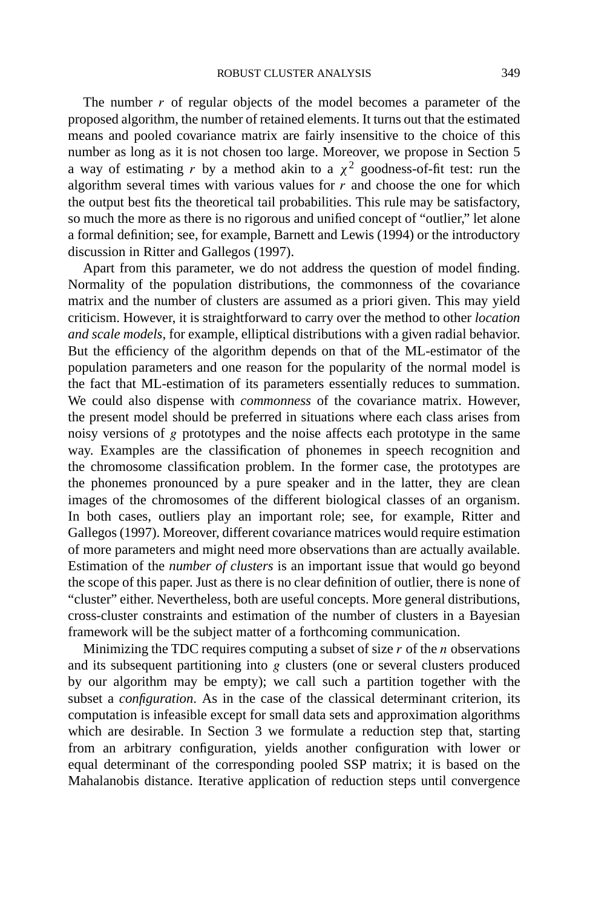The number *r* of regular objects of the model becomes a parameter of the proposed algorithm, the number of retained elements. It turns out that the estimated means and pooled covariance matrix are fairly insensitive to the choice of this number as long as it is not chosen too large. Moreover, we propose in Section 5 a way of estimating *r* by a method akin to a  $\chi^2$  goodness-of-fit test: run the algorithm several times with various values for *r* and choose the one for which the output best fits the theoretical tail probabilities. This rule may be satisfactory, so much the more as there is no rigorous and unified concept of "outlier," let alone a formal definition; see, for example, Barnett and Lewis (1994) or the introductory discussion in Ritter and Gallegos (1997).

Apart from this parameter, we do not address the question of model finding. Normality of the population distributions, the commonness of the covariance matrix and the number of clusters are assumed as a priori given. This may yield criticism. However, it is straightforward to carry over the method to other *location and scale models*, for example, elliptical distributions with a given radial behavior. But the efficiency of the algorithm depends on that of the ML-estimator of the population parameters and one reason for the popularity of the normal model is the fact that ML-estimation of its parameters essentially reduces to summation. We could also dispense with *commonness* of the covariance matrix. However, the present model should be preferred in situations where each class arises from noisy versions of *g* prototypes and the noise affects each prototype in the same way. Examples are the classification of phonemes in speech recognition and the chromosome classification problem. In the former case, the prototypes are the phonemes pronounced by a pure speaker and in the latter, they are clean images of the chromosomes of the different biological classes of an organism. In both cases, outliers play an important role; see, for example, Ritter and Gallegos (1997). Moreover, different covariance matrices would require estimation of more parameters and might need more observations than are actually available. Estimation of the *number of clusters* is an important issue that would go beyond the scope of this paper. Just as there is no clear definition of outlier, there is none of "cluster" either. Nevertheless, both are useful concepts. More general distributions, cross-cluster constraints and estimation of the number of clusters in a Bayesian framework will be the subject matter of a forthcoming communication.

Minimizing the TDC requires computing a subset of size *r* of the *n* observations and its subsequent partitioning into *g* clusters (one or several clusters produced by our algorithm may be empty); we call such a partition together with the subset a *configuration*. As in the case of the classical determinant criterion, its computation is infeasible except for small data sets and approximation algorithms which are desirable. In Section 3 we formulate a reduction step that, starting from an arbitrary configuration, yields another configuration with lower or equal determinant of the corresponding pooled SSP matrix; it is based on the Mahalanobis distance. Iterative application of reduction steps until convergence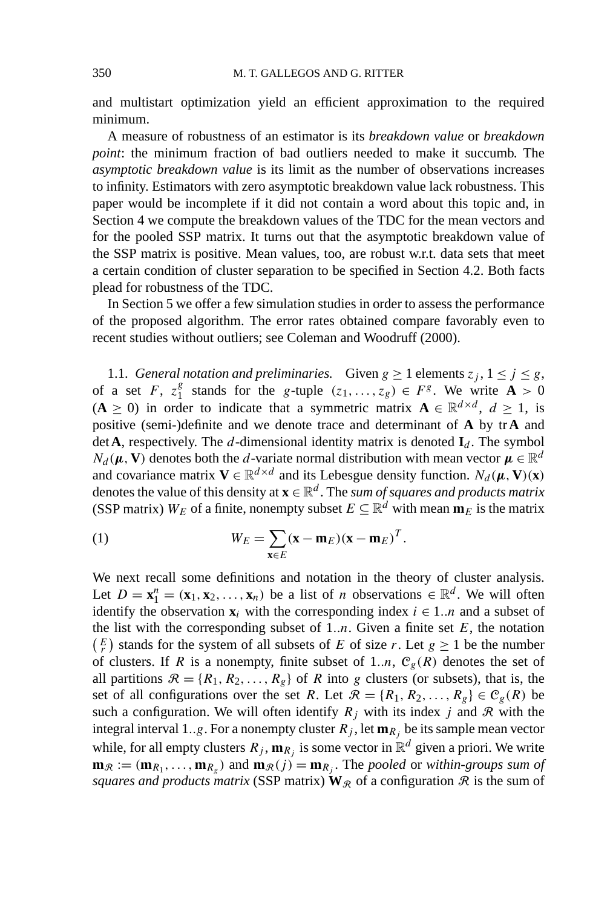and multistart optimization yield an efficient approximation to the required minimum.

A measure of robustness of an estimator is its *breakdown value* or *breakdown point*: the minimum fraction of bad outliers needed to make it succumb. The *asymptotic breakdown value* is its limit as the number of observations increases to infinity. Estimators with zero asymptotic breakdown value lack robustness. This paper would be incomplete if it did not contain a word about this topic and, in Section 4 we compute the breakdown values of the TDC for the mean vectors and for the pooled SSP matrix. It turns out that the asymptotic breakdown value of the SSP matrix is positive. Mean values, too, are robust w.r.t. data sets that meet a certain condition of cluster separation to be specified in Section 4.2. Both facts plead for robustness of the TDC.

In Section 5 we offer a few simulation studies in order to assess the performance of the proposed algorithm. The error rates obtained compare favorably even to recent studies without outliers; see Coleman and Woodruff (2000).

1.1. *General notation and preliminaries.* Given  $g \ge 1$  elements  $z_j$ ,  $1 \le j \le g$ , of a set *F*,  $z_1^g$  stands for the *g*-tuple  $(z_1, \ldots, z_g) \in F^g$ . We write  $\mathbf{A} > 0$ (**A** ≥ 0) in order to indicate that a symmetric matrix  $\mathbf{A} \in \mathbb{R}^{d \times d}$ ,  $d \ge 1$ , is positive (semi-)definite and we denote trace and determinant of **A** by tr**A** and det **A**, respectively. The *d*-dimensional identity matrix is denoted  $I_d$ . The symbol  $N_d$  ( $\mu$ , **V**) denotes both the *d*-variate normal distribution with mean vector  $\mu \in \mathbb{R}^d$ and covariance matrix  $V \in \mathbb{R}^{d \times d}$  and its Lebesgue density function.  $N_d(\mu, V)(x)$ denotes the value of this density at  $\mathbf{x} \in \mathbb{R}^d$ . The *sum of squares and products matrix* (SSP matrix)  $W_E$  of a finite, nonempty subset  $E \subseteq \mathbb{R}^d$  with mean  $\mathbf{m}_E$  is the matrix

(1) 
$$
W_E = \sum_{\mathbf{x} \in E} (\mathbf{x} - \mathbf{m}_E)(\mathbf{x} - \mathbf{m}_E)^T.
$$

We next recall some definitions and notation in the theory of cluster analysis. Let  $D = \mathbf{x}_1^n = (\mathbf{x}_1, \mathbf{x}_2, ..., \mathbf{x}_n)$  be a list of *n* observations  $\in \mathbb{R}^d$ . We will often identify the observation  $\mathbf{x}_i$  with the corresponding index  $i \in \{1..n\}$  and a subset of the list with the corresponding subset of  $1..n$ . Given a finite set  $E$ , the notation  $\binom{E}{r}$  stands for the system of all subsets of *E* of size *r*. Let  $g \ge 1$  be the number of clusters. If *R* is a nonempty, finite subset of 1.*n*,  $C_g(R)$  denotes the set of all partitions  $\mathcal{R} = \{R_1, R_2, \ldots, R_g\}$  of *R* into *g* clusters (or subsets), that is, the set of all configurations over the set *R*. Let  $\mathcal{R} = \{R_1, R_2, \dots, R_g\} \in C_g(R)$  be such a configuration. We will often identify  $R_j$  with its index *j* and  $\Re$  with the integral interval 1..g. For a nonempty cluster  $R_j$ , let  $\mathbf{m}_{R_j}$  be its sample mean vector while, for all empty clusters  $R_j$ ,  $m_{R_j}$  is some vector in  $\mathbb{R}^d$  given a priori. We write  $\mathbf{m}_{\mathcal{R}} := (\mathbf{m}_{R_1}, \dots, \mathbf{m}_{R_\rho})$  and  $\mathbf{m}_{\mathcal{R}}(j) = \mathbf{m}_{R_j}$ . The pooled or within-groups sum of *squares and products matrix* (SSP matrix)  $W_R$  of a configuration R is the sum of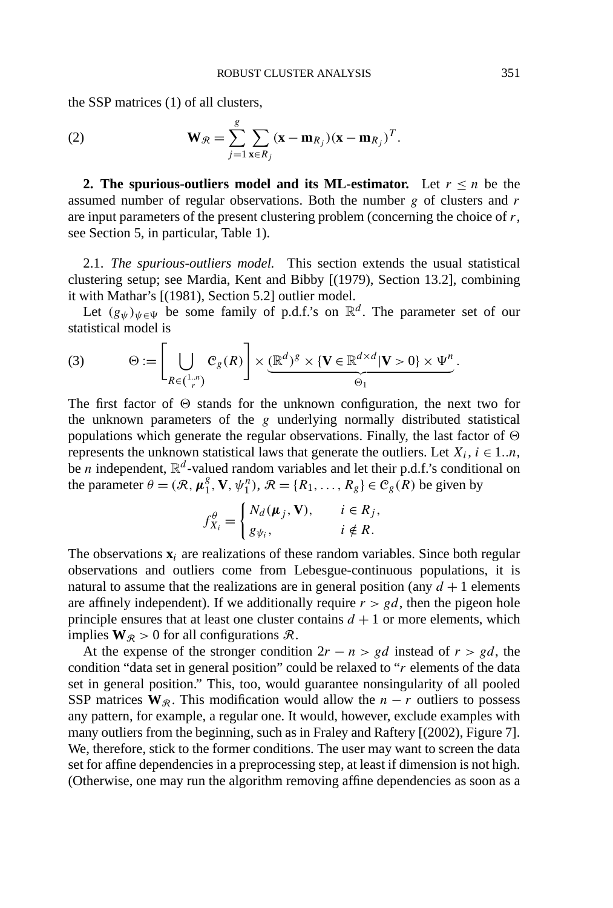the SSP matrices (1) of all clusters,

(2) 
$$
\mathbf{W}_{\mathcal{R}} = \sum_{j=1}^{g} \sum_{\mathbf{x} \in R_j} (\mathbf{x} - \mathbf{m}_{R_j})(\mathbf{x} - \mathbf{m}_{R_j})^T.
$$

**2. The spurious-outliers model and its ML-estimator.** Let  $r \leq n$  be the assumed number of regular observations. Both the number *g* of clusters and *r* are input parameters of the present clustering problem (concerning the choice of *r*, see Section 5, in particular, Table 1).

2.1. *The spurious-outliers model.* This section extends the usual statistical clustering setup; see Mardia, Kent and Bibby [(1979), Section 13.2], combining it with Mathar's [(1981), Section 5.2] outlier model.

Let  $(g_{\psi})_{\psi \in \Psi}$  be some family of p.d.f.'s on  $\mathbb{R}^d$ . The parameter set of our statistical model is

(3) 
$$
\Theta := \left[\bigcup_{R \in \binom{1,n}{r}} C_g(R)\right] \times \underbrace{(\mathbb{R}^d)^g \times \{V \in \mathbb{R}^{d \times d} | V > 0\} \times \Psi^n}_{\Theta_1}.
$$

The first factor of  $\Theta$  stands for the unknown configuration, the next two for the unknown parameters of the *g* underlying normally distributed statistical populations which generate the regular observations. Finally, the last factor of  $\Theta$ represents the unknown statistical laws that generate the outliers. Let  $X_i$ ,  $i \in 1..n$ , be *n* independent,  $\mathbb{R}^d$ -valued random variables and let their p.d.f.'s conditional on the parameter  $\theta = (\mathcal{R}, \mu_1^g, \mathbf{V}, \psi_1^h), \mathcal{R} = \{R_1, \dots, R_g\} \in C_g(R)$  be given by

$$
f_{X_i}^{\theta} = \begin{cases} N_d(\boldsymbol{\mu}_j, \mathbf{V}), & i \in R_j, \\ g_{\psi_i}, & i \notin R. \end{cases}
$$

The observations  $\mathbf{x}_i$  are realizations of these random variables. Since both regular observations and outliers come from Lebesgue-continuous populations, it is natural to assume that the realizations are in general position (any  $d + 1$  elements are affinely independent). If we additionally require  $r > gd$ , then the pigeon hole principle ensures that at least one cluster contains  $d + 1$  or more elements, which implies  $W_{\mathcal{R}} > 0$  for all configurations  $\mathcal{R}$ .

At the expense of the stronger condition  $2r - n > gd$  instead of  $r > gd$ , the condition "data set in general position" could be relaxed to "*r* elements of the data set in general position." This, too, would guarantee nonsingularity of all pooled SSP matrices  $W_{\mathcal{R}}$ . This modification would allow the *n* − *r* outliers to possess any pattern, for example, a regular one. It would, however, exclude examples with many outliers from the beginning, such as in Fraley and Raftery [(2002), Figure 7]. We, therefore, stick to the former conditions. The user may want to screen the data set for affine dependencies in a preprocessing step, at least if dimension is not high. (Otherwise, one may run the algorithm removing affine dependencies as soon as a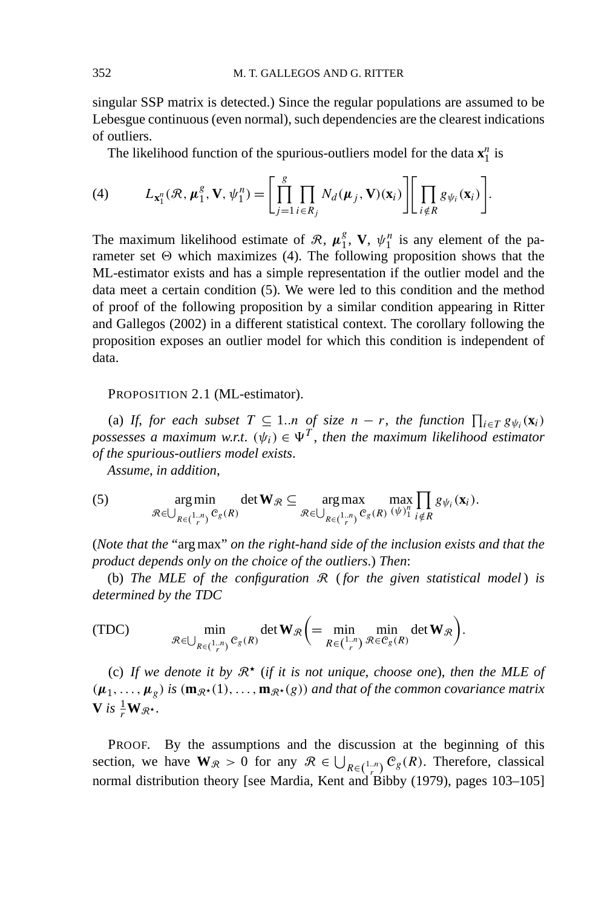singular SSP matrix is detected.) Since the regular populations are assumed to be Lebesgue continuous (even normal), such dependencies are the clearest indications of outliers.

The likelihood function of the spurious-outliers model for the data  $\mathbf{x}_1^n$  is

(4) 
$$
L_{\mathbf{x}_1^n}(\mathcal{R}, \boldsymbol{\mu}_1^g, \mathbf{V}, \boldsymbol{\psi}_1^n) = \left[ \prod_{j=1}^g \prod_{i \in R_j} N_d(\boldsymbol{\mu}_j, \mathbf{V})(\mathbf{x}_i) \right] \left[ \prod_{i \notin R} g_{\psi_i}(\mathbf{x}_i) \right].
$$

The maximum likelihood estimate of  $\mathcal{R}$ ,  $\mu_1^g$ , **V**,  $\psi_1^n$  is any element of the parameter set  $\Theta$  which maximizes (4). The following proposition shows that the ML-estimator exists and has a simple representation if the outlier model and the data meet a certain condition (5). We were led to this condition and the method of proof of the following proposition by a similar condition appearing in Ritter and Gallegos (2002) in a different statistical context. The corollary following the proposition exposes an outlier model for which this condition is independent of data.

PROPOSITION 2.1 (ML-estimator).

(a) If, for each subset  $T \subseteq 1..n$  of size  $n - r$ , the function  $\prod_{i \in T} g_{\psi_i}(\mathbf{x}_i)$ *possesses a maximum w.r.t.*  $(\psi_i) \in \Psi^T$ , then the maximum likelihood estimator *of the spurious-outliers model exists*.

*Assume*, *in addition*,

(5) 
$$
\arg\min_{\mathcal{R}\in\bigcup_{R\in\left(\frac{1}{r}\right)}\mathcal{C}_{g}(R)}\det\mathbf{W}_{\mathcal{R}}\subseteq\underset{\mathcal{R}\in\bigcup_{R\in\left(\frac{1}{r}\right)}\mathcal{C}_{g}(R)}{\arg\max}\underset{\substack{(w)\underset{i}{\sim}1}}{\max}\underset{i\notin R}{\max}\prod_{s\notin i}(x_{i}).
$$

(*Note that the* "arg max" *on the right-hand side of the inclusion exists and that the product depends only on the choice of the outliers*.) *Then*:

(b) *The MLE of the configuration* R (*for the given statistical model* ) *is determined by the TDC*

(TDC) 
$$
\min_{\mathcal{R} \in \bigcup_{R \in \binom{1,n}{r}} C_g(R)} \det \mathbf{W}_{\mathcal{R}} \bigg( = \min_{R \in \binom{1,n}{r}} \min_{\mathcal{R} \in C_g(R)} \det \mathbf{W}_{\mathcal{R}} \bigg).
$$

(c) If we denote it by  $\mathbb{R}^*$  (if it is not unique, choose one), then the MLE of  $(\mu_1, \ldots, \mu_g)$  *is*  $(\mathbf{m}_{\mathcal{R}^{\star}}(1), \ldots, \mathbf{m}_{\mathcal{R}^{\star}}(g))$  *and that of the common covariance matrix*  $V$  *is*  $\frac{1}{r}W_{\mathcal{R}^{\star}}$ .

PROOF. By the assumptions and the discussion at the beginning of this section, we have  $W_{\mathcal{R}} > 0$  for any  $\mathcal{R} \in \bigcup_{R \in \binom{1,n}{r}} C_g(R)$ . Therefore, classical normal distribution theory [see Mardia, Kent and Bibby (1979), pages 103–105]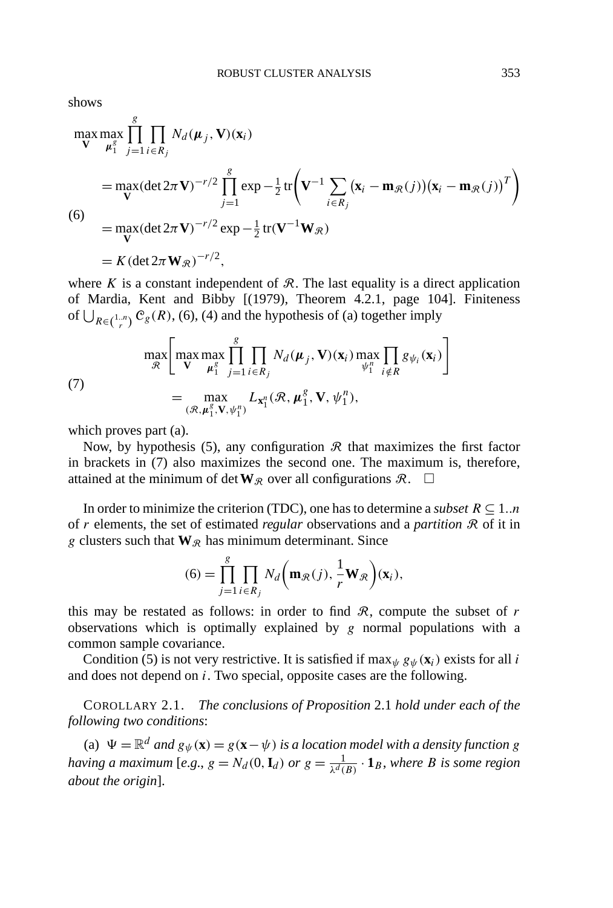shows

$$
\max_{\mathbf{V}} \max_{\mu_1^g} \prod_{j=1}^g \prod_{i \in R_j} N_d(\mu_j, \mathbf{V})(\mathbf{x}_i)
$$
  
=  $\max_{\mathbf{V}} (\det 2\pi \mathbf{V})^{-r/2} \prod_{j=1}^g \exp{-\frac{1}{2} \text{tr} \left( \mathbf{V}^{-1} \sum_{i \in R_j} (\mathbf{x}_i - \mathbf{m}_{\mathcal{R}}(j)) (\mathbf{x}_i - \mathbf{m}_{\mathcal{R}}(j))^T \right)}$   
(6)  
=  $\max_{\mathbf{V}} (\det 2\pi \mathbf{V})^{-r/2} \exp{-\frac{1}{2} \text{tr}(\mathbf{V}^{-1} \mathbf{W}_{\mathcal{R}})}$   
=  $K (\det 2\pi \mathbf{W}_{\mathcal{R}})^{-r/2}$ ,

where  $K$  is a constant independent of  $\mathcal{R}$ . The last equality is a direct application of Mardia, Kent and Bibby [(1979), Theorem 4.2.1, page 104]. Finiteness of  $\bigcup_{R \in \binom{1,n}{r}} C_g(R)$ , (6), (4) and the hypothesis of (a) together imply

(7)  
\n
$$
\max_{\mathcal{R}} \left[ \max_{\mathbf{V}} \max_{\boldsymbol{\mu}_{1}^{g}} \prod_{j=1}^{g} \prod_{i \in R_{j}} N_{d}(\boldsymbol{\mu}_{j}, \mathbf{V})(\mathbf{x}_{i}) \max_{\psi_{1}^{h}} \prod_{i \notin R} g_{\psi_{i}}(\mathbf{x}_{i}) \right]
$$
\n
$$
= \max_{(\mathcal{R}, \boldsymbol{\mu}_{1}^{g}, \mathbf{V}, \psi_{1}^{h})} L_{\mathbf{x}_{1}^{n}}(\mathcal{R}, \boldsymbol{\mu}_{1}^{g}, \mathbf{V}, \psi_{1}^{h}),
$$

which proves part (a).

Now, by hypothesis (5), any configuration  $\Re$  that maximizes the first factor in brackets in (7) also maximizes the second one. The maximum is, therefore, attained at the minimum of det  $W_R$  over all configurations  $\mathcal{R}$ .  $\Box$ 

In order to minimize the criterion (TDC), one has to determine a *subset*  $R \subseteq 1..n$ of *r* elements, the set of estimated *regular* observations and a *partition* R of it in *g* clusters such that  $W_{\mathcal{R}}$  has minimum determinant. Since

$$
(6) = \prod_{j=1}^{g} \prod_{i \in R_j} N_d \bigg( \mathbf{m}_{\mathcal{R}}(j), \frac{1}{r} \mathbf{W}_{\mathcal{R}} \bigg) (\mathbf{x}_i),
$$

this may be restated as follows: in order to find  $R$ , compute the subset of  $r$ observations which is optimally explained by *g* normal populations with a common sample covariance.

Condition (5) is not very restrictive. It is satisfied if  $\max_{\psi} g_{\psi}(\mathbf{x}_i)$  exists for all *i* and does not depend on *i*. Two special, opposite cases are the following.

COROLLARY 2.1. *The conclusions of Proposition* 2.1 *hold under each of the following two conditions*:

(a)  $\Psi = \mathbb{R}^d$  *and*  $g_{\psi}(\mathbf{x}) = g(\mathbf{x} - \psi)$  *is a location model with a density function g having a maximum* [*e.g., g* =  $N_d(0, \mathbf{I}_d)$  *or*  $g = \frac{1}{\lambda^d(B)} \cdot \mathbf{1}_B$ *, where B is some region about the origin*].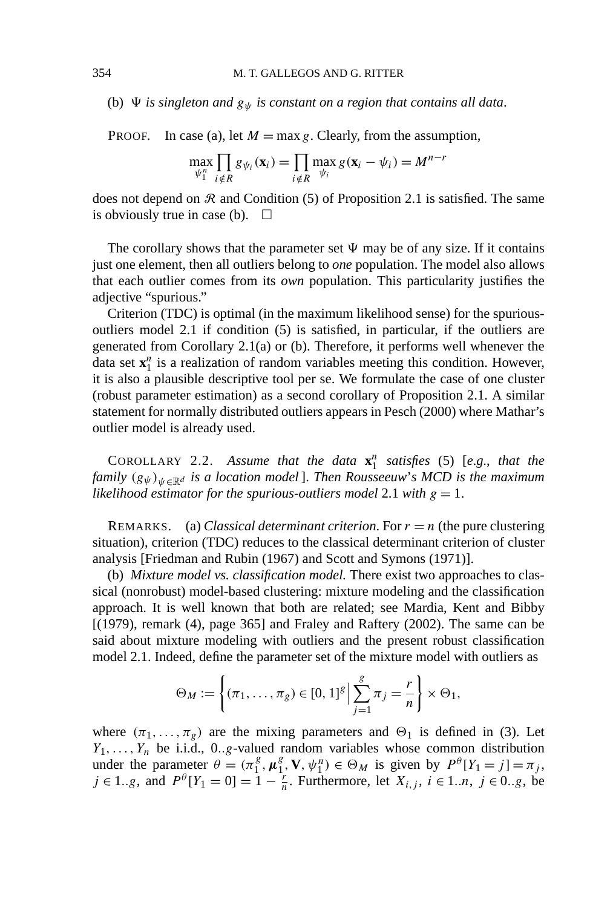(b)  $\Psi$  *is singleton and*  $g_{\psi}$  *is constant on a region that contains all data.* 

PROOF. In case (a), let  $M = \max g$ . Clearly, from the assumption,

$$
\max_{\psi_1^n} \prod_{i \notin R} g_{\psi_i}(\mathbf{x}_i) = \prod_{i \notin R} \max_{\psi_i} g(\mathbf{x}_i - \psi_i) = M^{n-r}
$$

does not depend on  $\Re$  and Condition (5) of Proposition 2.1 is satisfied. The same is obviously true in case (b).  $\square$ 

The corollary shows that the parameter set  $\Psi$  may be of any size. If it contains just one element, then all outliers belong to *one* population. The model also allows that each outlier comes from its *own* population. This particularity justifies the adjective "spurious."

Criterion (TDC) is optimal (in the maximum likelihood sense) for the spuriousoutliers model 2.1 if condition (5) is satisfied, in particular, if the outliers are generated from Corollary 2.1(a) or (b). Therefore, it performs well whenever the data set  $x_1^n$  is a realization of random variables meeting this condition. However, it is also a plausible descriptive tool per se. We formulate the case of one cluster (robust parameter estimation) as a second corollary of Proposition 2.1. A similar statement for normally distributed outliers appears in Pesch (2000) where Mathar's outlier model is already used.

COROLLARY 2.2. Assume that the data  $\mathbf{x}_1^n$  satisfies (5) [e.g., that the *family*  $(g_{\psi})_{\psi \in \mathbb{R}^d}$  *is a location model* ]. *Then Rousseeuw's MCD is the maximum likelihood estimator for the spurious-outliers model* 2.1 *with*  $g = 1$ .

REMARKS. (a) *Classical determinant criterion*. For  $r = n$  (the pure clustering situation), criterion (TDC) reduces to the classical determinant criterion of cluster analysis [Friedman and Rubin (1967) and Scott and Symons (1971)].

(b) *Mixture model vs. classification model.* There exist two approaches to classical (nonrobust) model-based clustering: mixture modeling and the classification approach. It is well known that both are related; see Mardia, Kent and Bibby [(1979), remark (4), page 365] and Fraley and Raftery (2002). The same can be said about mixture modeling with outliers and the present robust classification model 2.1. Indeed, define the parameter set of the mixture model with outliers as

$$
\Theta_M := \left\{ (\pi_1, \ldots, \pi_g) \in [0, 1]^g \Big| \sum_{j=1}^g \pi_j = \frac{r}{n} \right\} \times \Theta_1,
$$

where  $(\pi_1, \ldots, \pi_g)$  are the mixing parameters and  $\Theta_1$  is defined in (3). Let  $Y_1, \ldots, Y_n$  be i.i.d., 0*.g*-valued random variables whose common distribution under the parameter  $\theta = (\pi_1^g, \mu_1^g, \mathbf{V}, \psi_1^n) \in \Theta_M$  is given by  $P^\theta[Y_1 = j] = \pi_j$ , *j* ∈ 1*..g*, and  $P^{\theta}[Y_1 = 0] = 1 - \frac{r}{n}$ . Furthermore, let  $X_{i,j}$ ,  $i \in 1..n$ ,  $j \in 0..g$ , be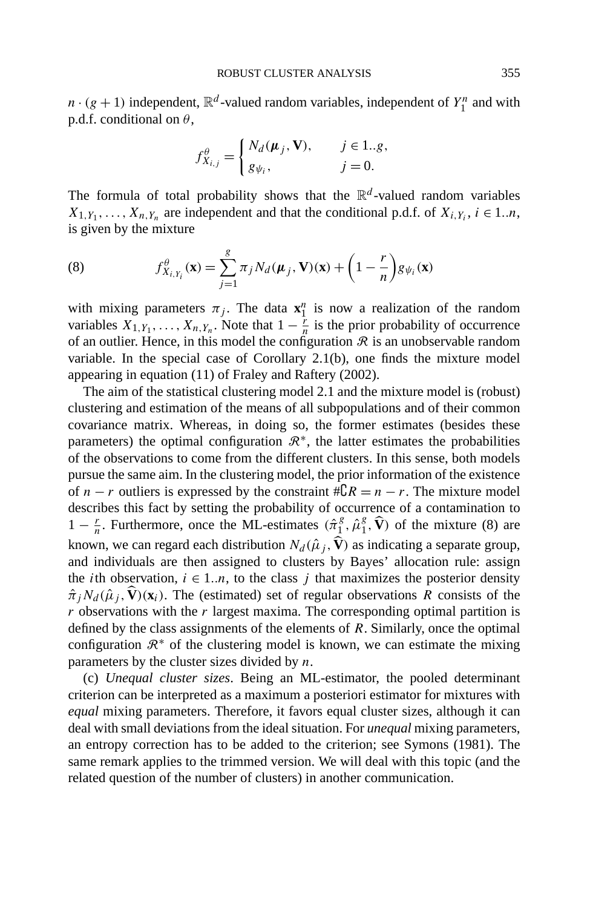$n \cdot (g + 1)$  independent,  $\mathbb{R}^d$ -valued random variables, independent of  $Y_1^n$  and with p.d.f. conditional on *θ*,

$$
f_{X_{i,j}}^{\theta} = \begin{cases} N_d(\boldsymbol{\mu}_j, \mathbf{V}), & j \in 1..g, \\ g_{\psi_i}, & j = 0. \end{cases}
$$

The formula of total probability shows that the  $\mathbb{R}^d$ -valued random variables  $X_{1,Y_1}, \ldots, X_{n,Y_n}$  are independent and that the conditional p.d.f. of  $X_{i,Y_i}$ ,  $i \in 1..n$ , is given by the mixture

(8) 
$$
f_{X_i,Y_i}^{\theta}(\mathbf{x}) = \sum_{j=1}^g \pi_j N_d(\boldsymbol{\mu}_j, \mathbf{V})(\mathbf{x}) + \left(1 - \frac{r}{n}\right)g_{\psi_i}(\mathbf{x})
$$

with mixing parameters  $\pi_j$ . The data  $\mathbf{x}_1^n$  is now a realization of the random variables  $X_{1, Y_1}, \ldots, X_{n, Y_n}$ . Note that  $1 - \frac{r}{n}$  is the prior probability of occurrence of an outlier. Hence, in this model the configuration  $\Re$  is an unobservable random variable. In the special case of Corollary 2.1(b), one finds the mixture model appearing in equation (11) of Fraley and Raftery (2002).

The aim of the statistical clustering model 2.1 and the mixture model is (robust) clustering and estimation of the means of all subpopulations and of their common covariance matrix. Whereas, in doing so, the former estimates (besides these parameters) the optimal configuration  $\mathcal{R}^*$ , the latter estimates the probabilities of the observations to come from the different clusters. In this sense, both models pursue the same aim. In the clustering model, the prior information of the existence of *n* − *r* outliers is expressed by the constraint  $\#\complement R = n - r$ . The mixture model describes this fact by setting the probability of occurrence of a contamination to 1 −  $\frac{r}{n}$ . Furthermore, once the ML-estimates  $(\hat{\pi}_1^g, \hat{\mu}_1^g, \hat{\mathbf{V}})$  of the mixture (8) are known, we can regard each distribution  $N_d(\hat{\mu}_j, \hat{V})$  as indicating a separate group, and individuals are then assigned to clusters by Bayes' allocation rule: assign the *i*th observation,  $i \in 1..n$ , to the class *j* that maximizes the posterior density  $\hat{\pi}_j N_d(\hat{\mu}_j, \mathbf{V})(\mathbf{x}_i)$ . The (estimated) set of regular observations *R* consists of the *r* observations with the *r* largest maxima. The corresponding optimal partition is defined by the class assignments of the elements of *R*. Similarly, once the optimal configuration  $\mathcal{R}^*$  of the clustering model is known, we can estimate the mixing parameters by the cluster sizes divided by *n*.

(c) *Unequal cluster sizes*. Being an ML-estimator, the pooled determinant criterion can be interpreted as a maximum a posteriori estimator for mixtures with *equal* mixing parameters. Therefore, it favors equal cluster sizes, although it can deal with small deviations from the ideal situation. For *unequal* mixing parameters, an entropy correction has to be added to the criterion; see Symons (1981). The same remark applies to the trimmed version. We will deal with this topic (and the related question of the number of clusters) in another communication.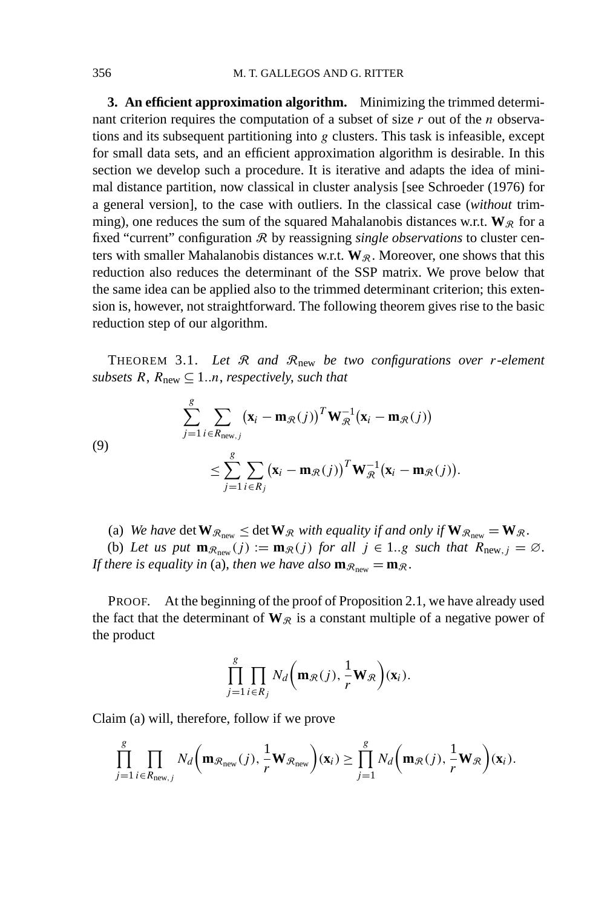**3. An efficient approximation algorithm.** Minimizing the trimmed determinant criterion requires the computation of a subset of size *r* out of the *n* observations and its subsequent partitioning into *g* clusters. This task is infeasible, except for small data sets, and an efficient approximation algorithm is desirable. In this section we develop such a procedure. It is iterative and adapts the idea of minimal distance partition, now classical in cluster analysis [see Schroeder (1976) for a general version], to the case with outliers. In the classical case (*without* trimming), one reduces the sum of the squared Mahalanobis distances w.r.t.  $W_R$  for a fixed "current" configuration R by reassigning *single observations* to cluster centers with smaller Mahalanobis distances w.r.t.  $W_{\mathcal{R}}$ . Moreover, one shows that this reduction also reduces the determinant of the SSP matrix. We prove below that the same idea can be applied also to the trimmed determinant criterion; this extension is, however, not straightforward. The following theorem gives rise to the basic reduction step of our algorithm.

THEOREM 3.1. *Let* R *and* Rnew *be two configurations over r-element subsets*  $R$ ,  $R_{\text{new}} \subseteq 1...n$ , *respectively*, *such that* 

(9)  

$$
\sum_{j=1}^{g} \sum_{i \in R_{\text{new},j}} (\mathbf{x}_i - \mathbf{m}_{\mathcal{R}}(j))^T \mathbf{W}_{\mathcal{R}}^{-1} (\mathbf{x}_i - \mathbf{m}_{\mathcal{R}}(j))
$$

$$
\leq \sum_{j=1}^{g} \sum_{i \in R_j} (\mathbf{x}_i - \mathbf{m}_{\mathcal{R}}(j))^T \mathbf{W}_{\mathcal{R}}^{-1} (\mathbf{x}_i - \mathbf{m}_{\mathcal{R}}(j)).
$$

(a) We have det  $\mathbf{W}_{\mathcal{R}_{\text{new}}} \leq$  det  $\mathbf{W}_{\mathcal{R}}$  *with equality if and only if*  $\mathbf{W}_{\mathcal{R}_{\text{new}}} = \mathbf{W}_{\mathcal{R}}$ .

(b) Let us put  $\mathbf{m}_{\mathcal{R}_{new}}(j) := \mathbf{m}_{\mathcal{R}}(j)$  for all  $j \in 1..g$  such that  $R_{new,j} = \emptyset$ . *If there is equality in* (a), *then we have also*  $\mathbf{m}_{\mathcal{R}_{\text{new}}} = \mathbf{m}_{\mathcal{R}}$ .

PROOF. At the beginning of the proof of Proposition 2.1, we have already used the fact that the determinant of  $W_{\mathcal{R}}$  is a constant multiple of a negative power of the product

$$
\prod_{j=1}^g \prod_{i \in R_j} N_d \bigg( \mathbf{m}_{\mathcal{R}}(j), \frac{1}{r} \mathbf{W}_{\mathcal{R}} \bigg) (\mathbf{x}_i).
$$

Claim (a) will, therefore, follow if we prove

$$
\prod_{j=1}^g \prod_{i \in R_{\text{new},j}} N_d \bigg( \mathbf{m}_{\mathcal{R}_{\text{new}}}(j), \frac{1}{r} \mathbf{W}_{\mathcal{R}_{\text{new}}} \bigg) (\mathbf{x}_i) \geq \prod_{j=1}^g N_d \bigg( \mathbf{m}_{\mathcal{R}}(j), \frac{1}{r} \mathbf{W}_{\mathcal{R}} \bigg) (\mathbf{x}_i).
$$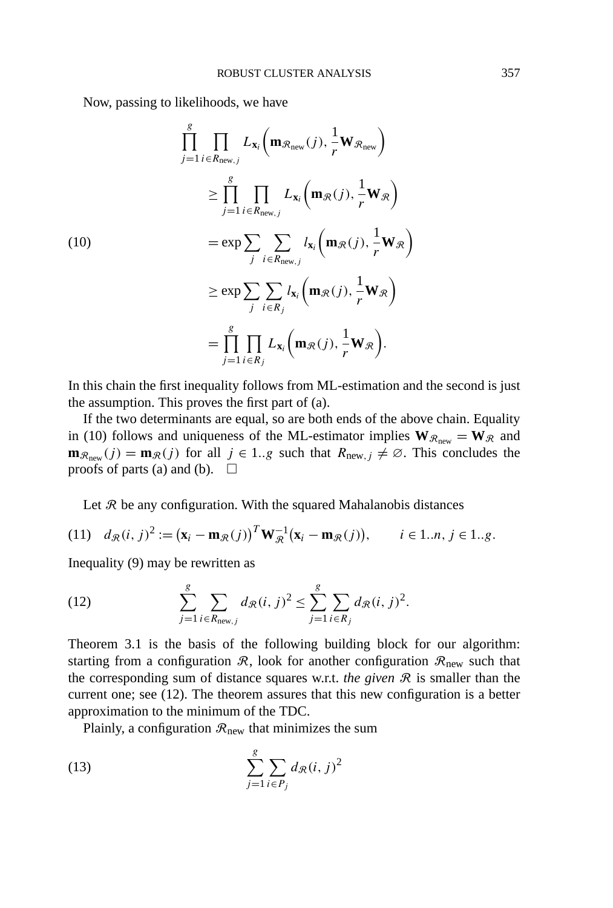Now, passing to likelihoods, we have

$$
\prod_{j=1}^{g} \prod_{i \in R_{\text{new},j}} L_{\mathbf{x}_i} \left( \mathbf{m}_{\mathcal{R}_{\text{new}}}(j), \frac{1}{r} \mathbf{W}_{\mathcal{R}_{\text{new}}} \right)
$$
\n
$$
\geq \prod_{j=1}^{g} \prod_{i \in R_{\text{new},j}} L_{\mathbf{x}_i} \left( \mathbf{m}_{\mathcal{R}}(j), \frac{1}{r} \mathbf{W}_{\mathcal{R}} \right)
$$
\n
$$
= \exp \sum_{j} \sum_{i \in R_{\text{new},j}} l_{\mathbf{x}_i} \left( \mathbf{m}_{\mathcal{R}}(j), \frac{1}{r} \mathbf{W}_{\mathcal{R}} \right)
$$
\n
$$
\geq \exp \sum_{j} \sum_{i \in R_{j}} l_{\mathbf{x}_i} \left( \mathbf{m}_{\mathcal{R}}(j), \frac{1}{r} \mathbf{W}_{\mathcal{R}} \right)
$$
\n
$$
= \prod_{j=1}^{g} \prod_{i \in R_{j}} L_{\mathbf{x}_i} \left( \mathbf{m}_{\mathcal{R}}(j), \frac{1}{r} \mathbf{W}_{\mathcal{R}} \right).
$$

In this chain the first inequality follows from ML-estimation and the second is just the assumption. This proves the first part of (a).

If the two determinants are equal, so are both ends of the above chain. Equality in (10) follows and uniqueness of the ML-estimator implies  $W_{\mathcal{R}_{new}} = W_{\mathcal{R}}$  and  $\mathbf{m}_{\mathcal{R}_{new}}(j) = \mathbf{m}_{\mathcal{R}}(j)$  for all  $j \in 1..g$  such that  $R_{new,j} \neq \emptyset$ . This concludes the proofs of parts (a) and (b).  $\Box$ 

Let  $R$  be any configuration. With the squared Mahalanobis distances

(11) 
$$
d_{\mathcal{R}}(i, j)^2 := (\mathbf{x}_i - \mathbf{m}_{\mathcal{R}}(j))^T \mathbf{W}_{\mathcal{R}}^{-1} (\mathbf{x}_i - \mathbf{m}_{\mathcal{R}}(j)), \qquad i \in 1..n, j \in 1..g.
$$

Inequality (9) may be rewritten as

(12) 
$$
\sum_{j=1}^{g} \sum_{i \in R_{\text{new},j}} d_{\mathcal{R}}(i, j)^2 \leq \sum_{j=1}^{g} \sum_{i \in R_j} d_{\mathcal{R}}(i, j)^2.
$$

Theorem 3.1 is the basis of the following building block for our algorithm: starting from a configuration  $\mathcal{R}$ , look for another configuration  $\mathcal{R}_{\text{new}}$  such that the corresponding sum of distance squares w.r.t. *the given*  $\mathcal{R}$  is smaller than the current one; see (12). The theorem assures that this new configuration is a better approximation to the minimum of the TDC.

Plainly, a configuration  $\mathcal{R}_{\text{new}}$  that minimizes the sum

(13) 
$$
\sum_{j=1}^{g} \sum_{i \in P_j} d_{\mathcal{R}}(i, j)^2
$$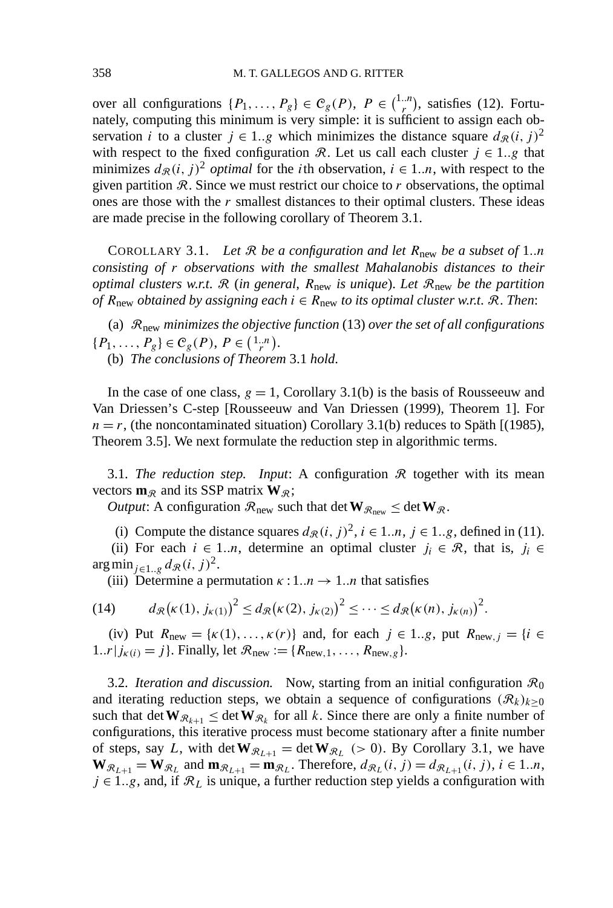over all configurations  $\{P_1, \ldots, P_g\} \in C_g(P)$ ,  $P \in {1..n \choose r}$  $r^{n}$ , satisfies (12). Fortunately, computing this minimum is very simple: it is sufficient to assign each observation *i* to a cluster  $j \in 1..g$  which minimizes the distance square  $d_{\mathcal{R}}(i, j)^2$ with respect to the fixed configuration R. Let us call each cluster  $j \in 1..g$  that minimizes  $d_{\mathcal{R}}(i, j)^2$  *optimal* for the *i*th observation,  $i \in 1..n$ , with respect to the given partition  $R$ . Since we must restrict our choice to  $r$  observations, the optimal ones are those with the *r* smallest distances to their optimal clusters. These ideas are made precise in the following corollary of Theorem 3.1.

COROLLARY 3.1. *Let* R *be a configuration and let R*new *be a subset of* 1*..n consisting of r observations with the smallest Mahalanobis distances to their optimal clusters w*.*r*.*t*. R (*in general*, *R*new *is unique*). *Let* Rnew *be the partition of*  $R_{\text{new}}$  *obtained by assigning each*  $i \in R_{\text{new}}$  *to its optimal cluster w.r.t.*  $\Re$ . *Then:* 

(a) Rnew *minimizes the objective function* (13) *over the set of all configurations*  $\{P_1, \ldots, P_g\} \in C_g(P), P \in \left(\begin{smallmatrix} 1..n \\ r \end{smallmatrix}\right).$ 

(b) *The conclusions of Theorem* 3.1 *hold*.

In the case of one class,  $g = 1$ , Corollary 3.1(b) is the basis of Rousseeuw and Van Driessen's C-step [Rousseeuw and Van Driessen (1999), Theorem 1]. For  $n = r$ , (the noncontaminated situation) Corollary 3.1(b) reduces to Späth [(1985), Theorem 3.5]. We next formulate the reduction step in algorithmic terms.

3.1. *The reduction step. Input*: A configuration  $\Re$  together with its mean vectors  $\mathbf{m}_{\mathcal{R}}$  and its SSP matrix  $\mathbf{W}_{\mathcal{R}}$ ;

*Output*: A configuration  $\mathcal{R}_{\text{new}}$  such that det  $W_{\mathcal{R}_{\text{new}}} \leq det W_{\mathcal{R}}$ .

(i) Compute the distance squares  $d_{\mathcal{R}}(i, j)^2$ ,  $i \in 1..n$ ,  $j \in 1..g$ , defined in (11).

(ii) For each  $i \in 1..n$ , determine an optimal cluster  $j_i \in \mathcal{R}$ , that is,  $j_i \in \mathcal{R}$ arg min<sub>j∈1..g</sub>  $d_{\mathcal{R}}(i, j)^2$ .

(iii) Determine a permutation  $\kappa : 1..n \rightarrow 1..n$  that satisfies

(14) 
$$
d_{\mathcal{R}}(\kappa(1),j_{\kappa(1)})^2 \leq d_{\mathcal{R}}(\kappa(2),j_{\kappa(2)})^2 \leq \cdots \leq d_{\mathcal{R}}(\kappa(n),j_{\kappa(n)})^2.
$$

(iv) Put  $R_{\text{new}} = \{k(1), ..., k(r)\}\$  and, for each  $j \in 1..g$ , put  $R_{\text{new},j} = \{i \in$ 1.*.r*  $|j_{k(i)} = j\}$ . Finally, let  $\mathcal{R}_{new} := \{R_{new,1}, \ldots, R_{new,g}\}.$ 

3.2. *Iteration and discussion.* Now, starting from an initial configuration  $\mathcal{R}_0$ and iterating reduction steps, we obtain a sequence of configurations  $(R_k)_{k\geq 0}$ such that det  $\mathbf{W}_{\mathcal{R}_{k+1}} \leq \det \mathbf{W}_{\mathcal{R}_k}$  for all *k*. Since there are only a finite number of configurations, this iterative process must become stationary after a finite number of steps, say *L*, with det  $W_{\mathcal{R}_{L+1}} = \det W_{\mathcal{R}_L}$  (> 0). By Corollary 3.1, we have  $\mathbf{W}_{\mathcal{R}_{L+1}} = \mathbf{W}_{\mathcal{R}_L}$  and  $\mathbf{m}_{\mathcal{R}_{L+1}} = \mathbf{m}_{\mathcal{R}_L}$ . Therefore,  $d_{\mathcal{R}_L}(i, j) = d_{\mathcal{R}_{L+1}}(i, j)$ ,  $i \in 1..n$ ,  $j \in 1..g$ , and, if  $\mathcal{R}_L$  is unique, a further reduction step yields a configuration with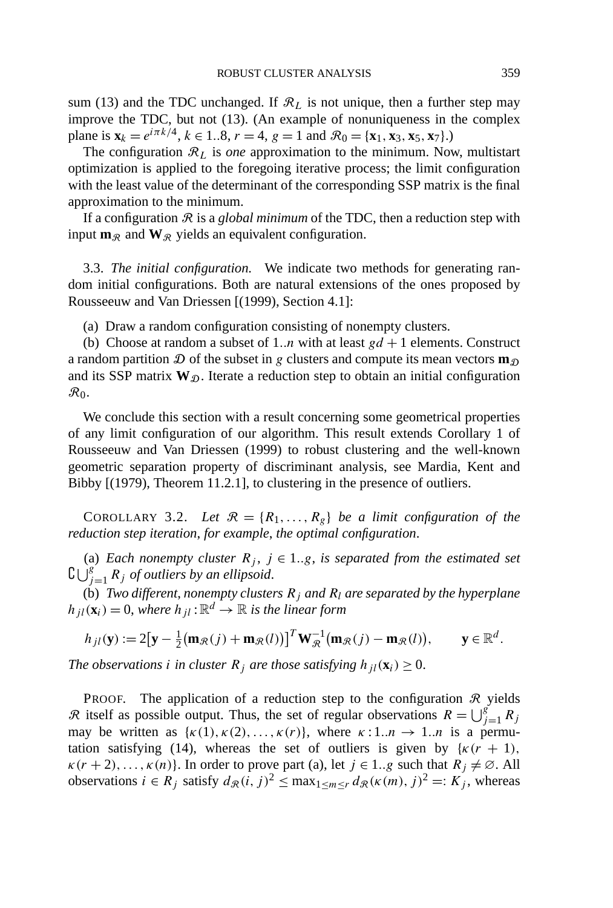sum (13) and the TDC unchanged. If  $\mathcal{R}_L$  is not unique, then a further step may improve the TDC, but not (13). (An example of nonuniqueness in the complex plane is  $\mathbf{x}_k = e^{i\pi k/4}, k \in 1..8, r = 4, g = 1$  and  $\mathcal{R}_0 = {\mathbf{x}_1, \mathbf{x}_3, \mathbf{x}_5, \mathbf{x}_7}$ .

The configuration  $\mathcal{R}_L$  is *one* approximation to the minimum. Now, multistart optimization is applied to the foregoing iterative process; the limit configuration with the least value of the determinant of the corresponding SSP matrix is the final approximation to the minimum.

If a configuration  $\Re$  is a *global minimum* of the TDC, then a reduction step with input  $\mathbf{m}_{\mathcal{R}}$  and  $\mathbf{W}_{\mathcal{R}}$  yields an equivalent configuration.

3.3. *The initial configuration.* We indicate two methods for generating random initial configurations. Both are natural extensions of the ones proposed by Rousseeuw and Van Driessen [(1999), Section 4.1]:

(a) Draw a random configuration consisting of nonempty clusters.

(b) Choose at random a subset of 1..*n* with at least  $gd + 1$  elements. Construct a random partition  $\mathcal D$  of the subset in g clusters and compute its mean vectors  $\mathbf m_{\mathcal D}$ and its SSP matrix  $W_{\mathcal{D}}$ . Iterate a reduction step to obtain an initial configuration  $\mathcal{R}_0$ .

We conclude this section with a result concerning some geometrical properties of any limit configuration of our algorithm. This result extends Corollary 1 of Rousseeuw and Van Driessen (1999) to robust clustering and the well-known geometric separation property of discriminant analysis, see Mardia, Kent and Bibby [(1979), Theorem 11.2.1], to clustering in the presence of outliers.

COROLLARY 3.2. Let  $\mathcal{R} = \{R_1, \ldots, R_g\}$  be a limit configuration of the *reduction step iteration*, *for example*, *the optimal configuration*.

(a) *Each nonempty cluster*  $R_i$ ,  $j \in 1..g$ , *is separated from the estimated set*  $\mathcal{G}\bigcup_{j=1}^g R_j$  *of outliers by an ellipsoid.* 

(b) *Two different, nonempty clusters*  $R_j$  *and*  $R_l$  *are separated by the hyperplane*  $h_{il}(\mathbf{x}_i) = 0$ , where  $h_{il}$ :  $\mathbb{R}^d \to \mathbb{R}$  *is the linear form* 

$$
h_{jl}(\mathbf{y}) := 2[\mathbf{y} - \frac{1}{2}(\mathbf{m}_{\mathcal{R}}(j) + \mathbf{m}_{\mathcal{R}}(l))]^{T} \mathbf{W}_{\mathcal{R}}^{-1}(\mathbf{m}_{\mathcal{R}}(j) - \mathbf{m}_{\mathcal{R}}(l)), \qquad \mathbf{y} \in \mathbb{R}^{d}.
$$

*The observations i in cluster*  $R_j$  *are those satisfying*  $h_{jl}(\mathbf{x}_i) \geq 0$ .

PROOF. The application of a reduction step to the configuration  $\Re$  yields R itself as possible output. Thus, the set of regular observations  $R = \bigcup_{j=1}^{g} R_j$ may be written as  $\{\kappa(1), \kappa(2), \ldots, \kappa(r)\}\)$ , where  $\kappa: 1..n \to 1..n$  is a permutation satisfying (14), whereas the set of outliers is given by  $\{k(r + 1),\}$  $\kappa(r+2), \ldots, \kappa(n)$ . In order to prove part (a), let  $j \in 1..g$  such that  $R_j \neq \emptyset$ . All observations  $i \in R_i$  satisfy  $d_R(i, j)^2 \le \max_{1 \le m \le r} d_R(\kappa(m), j)^2 =: K_j$ , whereas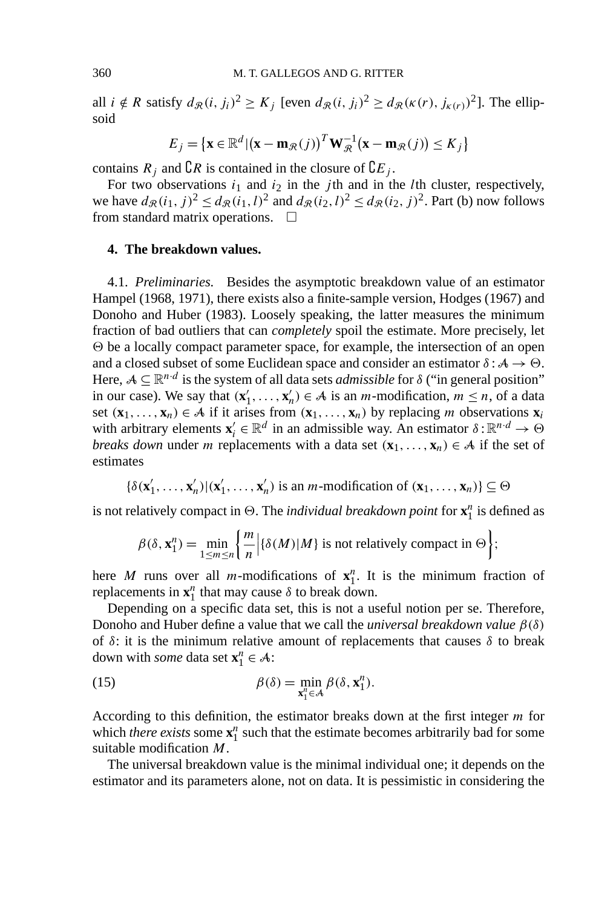all  $i \notin R$  satisfy  $d_{\mathcal{R}}(i, j_i)^2 \ge K_j$  [even  $d_{\mathcal{R}}(i, j_i)^2 \ge d_{\mathcal{R}}(\kappa(r), j_{\kappa(r)})^2$ ]. The ellipsoid

$$
E_j = \{ \mathbf{x} \in \mathbb{R}^d | (\mathbf{x} - \mathbf{m}_{\mathcal{R}}(j))^T \mathbf{W}_{\mathcal{R}}^{-1} (\mathbf{x} - \mathbf{m}_{\mathcal{R}}(j)) \le K_j \}
$$

contains  $R_j$  and  $\mathbb{C}R$  is contained in the closure of  $\mathbb{C}E_j$ .

For two observations  $i_1$  and  $i_2$  in the *j*th and in the *l*th cluster, respectively, we have  $d_{\mathcal{R}}(i_1, j)^2 \leq d_{\mathcal{R}}(i_1, l)^2$  and  $d_{\mathcal{R}}(i_2, l)^2 \leq d_{\mathcal{R}}(i_2, j)^2$ . Part (b) now follows from standard matrix operations.  $\Box$ 

## **4. The breakdown values.**

4.1. *Preliminaries.* Besides the asymptotic breakdown value of an estimator Hampel (1968, 1971), there exists also a finite-sample version, Hodges (1967) and Donoho and Huber (1983). Loosely speaking, the latter measures the minimum fraction of bad outliers that can *completely* spoil the estimate. More precisely, let  $\Theta$  be a locally compact parameter space, for example, the intersection of an open and a closed subset of some Euclidean space and consider an estimator  $\delta : A \rightarrow \Theta$ . Here,  $A \subseteq \mathbb{R}^{n \cdot d}$  is the system of all data sets *admissible* for  $\delta$  ("in general position" in our case). We say that  $(\mathbf{x}'_1, \ldots, \mathbf{x}'_n) \in A$  is an *m*-modification,  $m \le n$ , of a data set  $(\mathbf{x}_1, \ldots, \mathbf{x}_n) \in A$  if it arises from  $(\mathbf{x}_1, \ldots, \mathbf{x}_n)$  by replacing *m* observations  $\mathbf{x}_i$ with arbitrary elements  $\mathbf{x}'_i \in \mathbb{R}^d$  in an admissible way. An estimator  $\delta : \mathbb{R}^{n \cdot d} \to \Theta$ *breaks down* under *m* replacements with a data set  $(\mathbf{x}_1, \dots, \mathbf{x}_n) \in A$  if the set of estimates

$$
\{\delta(\mathbf{x}'_1,\ldots,\mathbf{x}'_n)|(\mathbf{x}'_1,\ldots,\mathbf{x}'_n)\}\text{ is an }m\text{-modification of }(\mathbf{x}_1,\ldots,\mathbf{x}_n)\}\subseteq\Theta
$$

is not relatively compact in  $\Theta$ . The *individual breakdown point* for  $\mathbf{x}_1^n$  is defined as

$$
\beta(\delta, \mathbf{x}_1^n) = \min_{1 \le m \le n} \left\{ \frac{m}{n} \middle| \{\delta(M) | M\} \text{ is not relatively compact in } \Theta \right\};
$$

here *M* runs over all *m*-modifications of  $x_1^n$ . It is the minimum fraction of replacements in  $\mathbf{x}_1^n$  that may cause  $\delta$  to break down.

Depending on a specific data set, this is not a useful notion per se. Therefore, Donoho and Huber define a value that we call the *universal breakdown value β(δ)* of  $\delta$ : it is the minimum relative amount of replacements that causes  $\delta$  to break down with *some* data set  $\mathbf{x}_1^n \in \mathcal{A}$ :

(15) 
$$
\beta(\delta) = \min_{\mathbf{x}_1^n \in \mathcal{A}} \beta(\delta, \mathbf{x}_1^n).
$$

According to this definition, the estimator breaks down at the first integer *m* for which *there exists* some  $\mathbf{x}_1^n$  such that the estimate becomes arbitrarily bad for some suitable modification *M*.

The universal breakdown value is the minimal individual one; it depends on the estimator and its parameters alone, not on data. It is pessimistic in considering the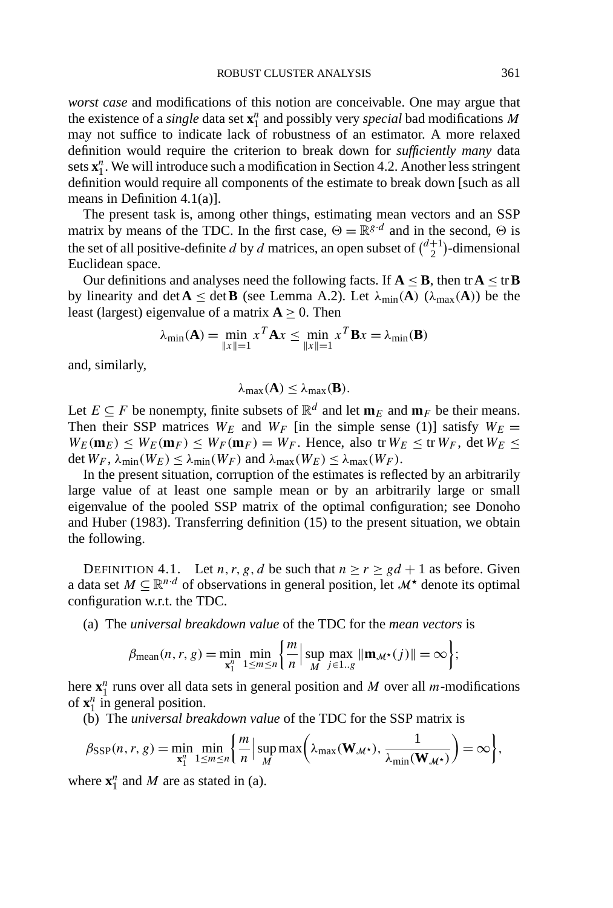*worst case* and modifications of this notion are conceivable. One may argue that the existence of a *single* data set **x***<sup>n</sup>* <sup>1</sup> and possibly very *special* bad modifications *M* may not suffice to indicate lack of robustness of an estimator. A more relaxed definition would require the criterion to break down for *sufficiently many* data sets  $\mathbf{x}_1^n$ . We will introduce such a modification in Section 4.2. Another less stringent definition would require all components of the estimate to break down [such as all means in Definition 4.1(a)].

The present task is, among other things, estimating mean vectors and an SSP matrix by means of the TDC. In the first case,  $\Theta = \mathbb{R}^{g \cdot d}$  and in the second,  $\Theta$  is the set of all positive-definite *d* by *d* matrices, an open subset of  $\binom{d+1}{2}$  $\binom{+1}{2}$ -dimensional Euclidean space.

Our definitions and analyses need the following facts. If  $A \leq B$ , then tr $A \leq \text{tr } B$ by linearity and det  $\mathbf{A} \leq$  det  $\mathbf{B}$  (see Lemma A.2). Let  $\lambda_{\min}(\mathbf{A})$  ( $\lambda_{\max}(\mathbf{A})$ ) be the least (largest) eigenvalue of a matrix  $A > 0$ . Then

$$
\lambda_{\min}(\mathbf{A}) = \min_{\|x\|=1} x^T \mathbf{A} x \le \min_{\|x\|=1} x^T \mathbf{B} x = \lambda_{\min}(\mathbf{B})
$$

and, similarly,

$$
\lambda_{\max}(\mathbf{A}) \leq \lambda_{\max}(\mathbf{B}).
$$

Let  $E \subseteq F$  be nonempty, finite subsets of  $\mathbb{R}^d$  and let  $\mathbf{m}_E$  and  $\mathbf{m}_F$  be their means. Then their SSP matrices  $W_E$  and  $W_F$  [in the simple sense (1)] satisfy  $W_E =$  $W_E(\mathbf{m}_E) \leq W_E(\mathbf{m}_F) \leq W_F(\mathbf{m}_F) = W_F$ . Hence, also tr $W_E \leq \text{tr } W_F$ , det  $W_E \leq$ det  $W_F$ ,  $\lambda_{\min}(W_E) \leq \lambda_{\min}(W_F)$  and  $\lambda_{\max}(W_E) \leq \lambda_{\max}(W_F)$ .

In the present situation, corruption of the estimates is reflected by an arbitrarily large value of at least one sample mean or by an arbitrarily large or small eigenvalue of the pooled SSP matrix of the optimal configuration; see Donoho and Huber (1983). Transferring definition (15) to the present situation, we obtain the following.

DEFINITION 4.1. Let *n*, *r*, *g*, *d* be such that  $n \ge r \ge gd + 1$  as before. Given a data set  $M \subseteq \mathbb{R}^{n \cdot d}$  of observations in general position, let  $M^*$  denote its optimal configuration w.r.t. the TDC.

(a) The *universal breakdown value* of the TDC for the *mean vectors* is

$$
\beta_{\text{mean}}(n, r, g) = \min_{\mathbf{x}_1^n} \min_{1 \le m \le n} \left\{ \frac{m}{n} \middle| \sup_{M} \max_{j \in 1..g} \|\mathbf{m}_{\mathcal{M}^{\star}}(j)\| = \infty \right\};
$$

here  $\mathbf{x}_1^n$  runs over all data sets in general position and *M* over all *m*-modifications of  $\mathbf{x}_1^n$  in general position.

(b) The *universal breakdown value* of the TDC for the SSP matrix is

$$
\beta_{\text{SSP}}(n, r, g) = \min_{\mathbf{x}_1^n} \min_{1 \le m \le n} \left\{ \frac{m}{n} \middle| \sup_{M} \max\left(\lambda_{\text{max}}(\mathbf{W}_{\mathcal{M}^\star}), \frac{1}{\lambda_{\text{min}}(\mathbf{W}_{\mathcal{M}^\star})}\right) = \infty \right\},
$$

where  $\mathbf{x}_1^n$  and *M* are as stated in (a).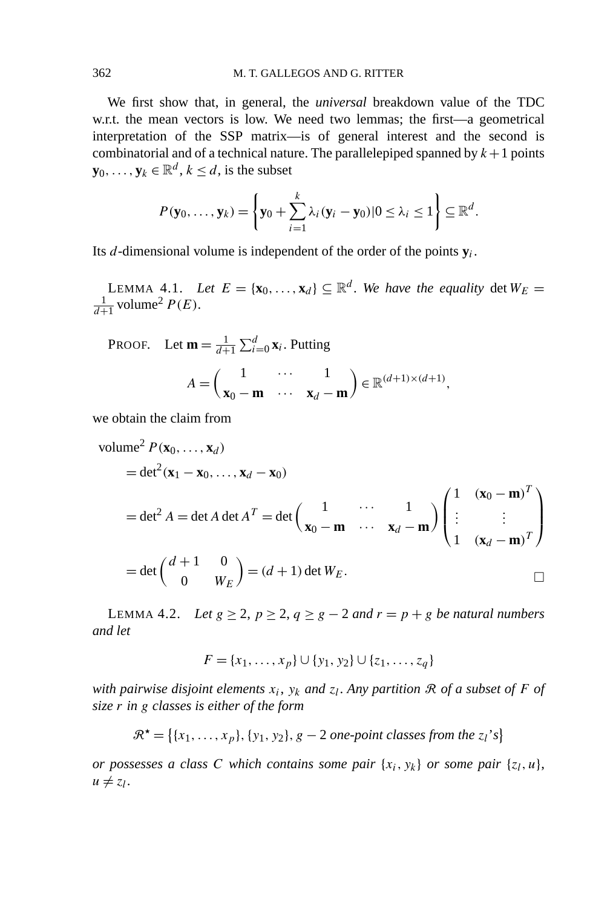We first show that, in general, the *universal* breakdown value of the TDC w.r.t. the mean vectors is low. We need two lemmas; the first—a geometrical interpretation of the SSP matrix—is of general interest and the second is combinatorial and of a technical nature. The parallelepiped spanned by  $k+1$  points **y**<sub>0</sub>*, ...,* **y**<sub>*k*</sub> ∈  $\mathbb{R}^d$ *, k* ≤ *d,* is the subset

$$
P(\mathbf{y}_0,\ldots,\mathbf{y}_k)=\left\{\mathbf{y}_0+\sum_{i=1}^k\lambda_i(\mathbf{y}_i-\mathbf{y}_0)|0\leq\lambda_i\leq1\right\}\subseteq\mathbb{R}^d.
$$

Its *d*-dimensional volume is independent of the order of the points  $y_i$ .

LEMMA 4.1. *Let*  $E = {\mathbf{x}_0, ..., \mathbf{x}_d} \subseteq \mathbb{R}^d$ . We have the equality det  $W_E =$  $\frac{1}{d+1}$  volume<sup>2</sup>  $P(E)$ .

PROOF. Let  $\mathbf{m} = \frac{1}{d+1} \sum_{i=0}^{d} \mathbf{x}_i$ . Putting

$$
A = \begin{pmatrix} 1 & \cdots & 1 \\ \mathbf{x}_0 - \mathbf{m} & \cdots & \mathbf{x}_d - \mathbf{m} \end{pmatrix} \in \mathbb{R}^{(d+1)\times(d+1)},
$$

we obtain the claim from

volume<sup>2</sup> 
$$
P(\mathbf{x}_0, ..., \mathbf{x}_d)
$$
  
\n
$$
= det^2(\mathbf{x}_1 - \mathbf{x}_0, ..., \mathbf{x}_d - \mathbf{x}_0)
$$
\n
$$
= det^2 A = det A det A^T = det \begin{pmatrix} 1 & \cdots & 1 \\ \mathbf{x}_0 - \mathbf{m} & \cdots & \mathbf{x}_d - \mathbf{m} \end{pmatrix} \begin{pmatrix} 1 & (\mathbf{x}_0 - \mathbf{m})^T \\ \vdots & \vdots \\ 1 & (\mathbf{x}_d - \mathbf{m})^T \end{pmatrix}
$$
\n
$$
= det \begin{pmatrix} d+1 & 0 \\ 0 & W_E \end{pmatrix} = (d+1) det W_E.
$$

LEMMA 4.2. *Let*  $g$  ≥ 2,  $p$  ≥ 2,  $q$  ≥  $g$  − 2 *and*  $r = p + g$  *be natural numbers and let*

$$
F = \{x_1, \ldots, x_p\} \cup \{y_1, y_2\} \cup \{z_1, \ldots, z_q\}
$$

*with pairwise disjoint elements*  $x_i$ ,  $y_k$  *and*  $z_l$ . *Any partition*  $\Re$  *of a subset of*  $F$  *of size r in g classes is either of the form*

$$
\mathcal{R}^{\star} = \{ \{x_1, \ldots, x_p\}, \{y_1, y_2\}, g - 2 \text{ one-point classes from the } z_l \text{'s} \}
$$

*or possesses a class C which contains some pair*  $\{x_i, y_k\}$  *or some pair*  $\{z_l, u\}$ ,  $u \neq z_l$ .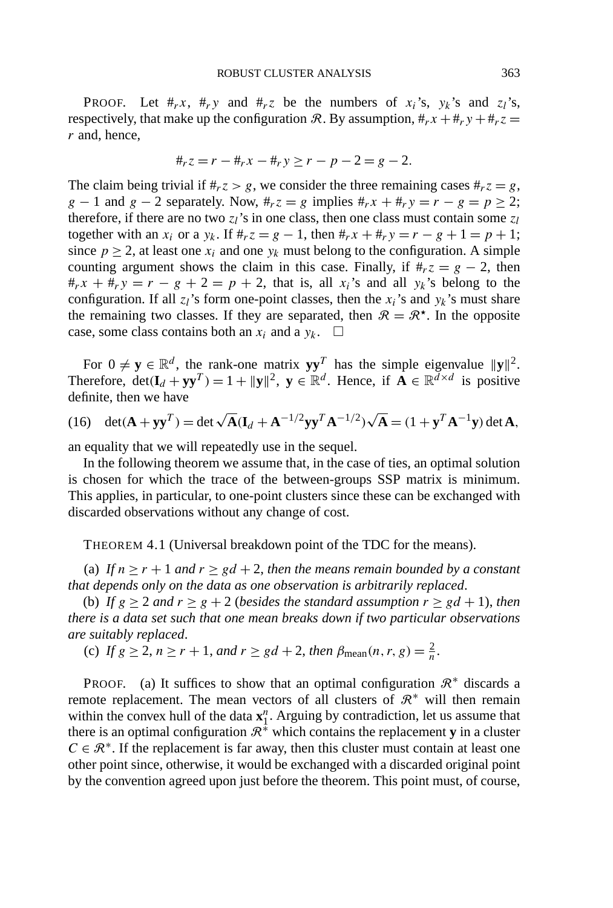**PROOF.** Let  $#_rx$ ,  $#_ry$  and  $#_rz$  be the numbers of  $x_i$ 's,  $y_k$ 's and  $z_i$ 's, respectively, that make up the configuration R. By assumption,  $\#_r x + \#_r y + \#_r z =$ *r* and, hence,

$$
\#_r z = r - \#_r x - \#_r y \ge r - p - 2 = g - 2.
$$

The claim being trivial if  $#r z > g$ , we consider the three remaining cases  $#r z = g$ , *g* − 1 and *g* − 2 separately. Now,  $#_r z = g$  implies  $#_r x + #_r y = r - g = p \ge 2$ ; therefore, if there are no two  $z_l$ 's in one class, then one class must contain some  $z_l$ together with an  $x_i$  or a  $y_k$ . If  $#_r z = g - 1$ , then  $#_r x + 1/p = r - g + 1 = p + 1$ ; since  $p \ge 2$ , at least one  $x_i$  and one  $y_k$  must belong to the configuration. A simple counting argument shows the claim in this case. Finally, if  $\#_r z = g - 2$ , then  $#_rx + #_ry = r - g + 2 = p + 2$ , that is, all  $x_i$ 's and all  $y_k$ 's belong to the configuration. If all  $z_i$ 's form one-point classes, then the  $x_i$ 's and  $y_k$ 's must share the remaining two classes. If they are separated, then  $\mathcal{R} = \mathcal{R}^{\star}$ . In the opposite case, some class contains both an  $x_i$  and a  $y_k$ .  $\Box$ 

For  $0 \neq y \in \mathbb{R}^d$ , the rank-one matrix  $yy^T$  has the simple eigenvalue  $||y||^2$ . Therefore,  $det(\mathbf{I}_d + \mathbf{y}\mathbf{y}^T) = 1 + ||\mathbf{y}||^2$ ,  $\mathbf{y} \in \mathbb{R}^d$ . Hence, if  $\mathbf{A} \in \mathbb{R}^{d \times d}$  is positive definite, then we have

(16) 
$$
\det(\mathbf{A} + \mathbf{y}\mathbf{y}^T) = \det \sqrt{\mathbf{A}} (\mathbf{I}_d + \mathbf{A}^{-1/2} \mathbf{y}\mathbf{y}^T \mathbf{A}^{-1/2}) \sqrt{\mathbf{A}} = (1 + \mathbf{y}^T \mathbf{A}^{-1} \mathbf{y}) \det \mathbf{A},
$$

an equality that we will repeatedly use in the sequel.

In the following theorem we assume that, in the case of ties, an optimal solution is chosen for which the trace of the between-groups SSP matrix is minimum. This applies, in particular, to one-point clusters since these can be exchanged with discarded observations without any change of cost.

THEOREM 4.1 (Universal breakdown point of the TDC for the means).

(a) If  $n \ge r + 1$  and  $r \ge gd + 2$ , then the means remain bounded by a constant *that depends only on the data as one observation is arbitrarily replaced*.

(b) *If*  $g \ge 2$  *and*  $r \ge g + 2$  (*besides the standard assumption*  $r \ge gd + 1$ *), then there is a data set such that one mean breaks down if two particular observations are suitably replaced*.

(c) *If*  $g \ge 2$ ,  $n \ge r + 1$ , *and*  $r \ge gd + 2$ , *then*  $\beta_{\text{mean}}(n, r, g) = \frac{2}{n}$ .

PROOF. (a) It suffices to show that an optimal configuration  $\mathbb{R}^*$  discards a remote replacement. The mean vectors of all clusters of  $\mathbb{R}^*$  will then remain within the convex hull of the data  $\mathbf{x}_1^n$ . Arguing by contradiction, let us assume that there is an optimal configuration  $\mathbb{R}^*$  which contains the replacement **y** in a cluster  $C \in \mathbb{R}^*$ . If the replacement is far away, then this cluster must contain at least one other point since, otherwise, it would be exchanged with a discarded original point by the convention agreed upon just before the theorem. This point must, of course,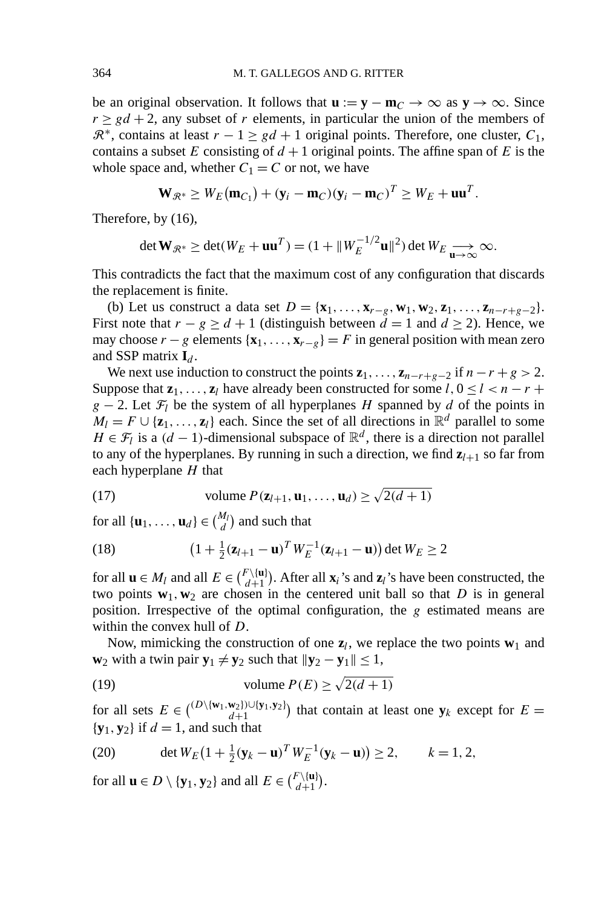be an original observation. It follows that  $\mathbf{u} := \mathbf{y} - \mathbf{m}_C \to \infty$  as  $\mathbf{y} \to \infty$ . Since  $r \geq gd + 2$ , any subset of *r* elements, in particular the union of the members of  $\mathbb{R}^*$ , contains at least  $r - 1 \ge gd + 1$  original points. Therefore, one cluster,  $C_1$ , contains a subset *E* consisting of  $d + 1$  original points. The affine span of *E* is the whole space and, whether  $C_1 = C$  or not, we have

$$
\mathbf{W}_{\mathcal{R}^*} \geq W_E(\mathbf{m}_{C_1}) + (\mathbf{y}_i - \mathbf{m}_C)(\mathbf{y}_i - \mathbf{m}_C)^T \geq W_E + \mathbf{u}\mathbf{u}^T.
$$

Therefore, by (16),

$$
\det \mathbf{W}_{\mathcal{R}^*} \ge \det(W_E + \mathbf{u}\mathbf{u}^T) = (1 + ||W_E^{-1/2}\mathbf{u}||^2) \det W_E \underset{\mathbf{u} \to \infty}{\longrightarrow} \infty.
$$

This contradicts the fact that the maximum cost of any configuration that discards the replacement is finite.

(b) Let us construct a data set  $D = {\bf x}_1, \ldots, {\bf x}_{r-g}, {\bf w}_1, {\bf w}_2, {\bf z}_1, \ldots, {\bf z}_{n-r+g-2}$ . First note that  $r - g \ge d + 1$  (distinguish between  $d = 1$  and  $d \ge 2$ ). Hence, we may choose  $r - g$  elements { $\mathbf{x}_1, \ldots, \mathbf{x}_{r-g}$ } = *F* in general position with mean zero and SSP matrix  $I_d$ .

We next use induction to construct the points  $z_1, \ldots, z_{n-r+g-2}$  if  $n-r+g > 2$ . Suppose that  $z_1, \ldots, z_l$  have already been constructed for some  $l, 0 \le l < n - r +$  $g - 2$ . Let  $\mathcal{F}_l$  be the system of all hyperplanes *H* spanned by *d* of the points in  $M_l = F \cup \{z_1, \ldots, z_l\}$  each. Since the set of all directions in  $\mathbb{R}^d$  parallel to some *H* ∈  $\mathcal{F}_l$  is a *(d* − 1)-dimensional subspace of  $\mathbb{R}^d$ , there is a direction not parallel to any of the hyperplanes. By running in such a direction, we find  $z_{l+1}$  so far from each hyperplane *H* that

(17) volume 
$$
P(\mathbf{z}_{l+1}, \mathbf{u}_1, \dots, \mathbf{u}_d) \ge \sqrt{2(d+1)}
$$

for all  $\{\mathbf{u}_1, \ldots, \mathbf{u}_d\} \in \binom{M_l}{d}$  and such that

(18) 
$$
(1 + \frac{1}{2}(\mathbf{z}_{l+1} - \mathbf{u})^T W_E^{-1}(\mathbf{z}_{l+1} - \mathbf{u})) \det W_E \ge 2
$$

for all  $\mathbf{u} \in M_l$  and all  $E \in {F \setminus {\mathbf{u}} \choose d+1}$  $d_{i+1}^{(\mathbf{u})}$ . After all  $\mathbf{x}_i$ 's and  $\mathbf{z}_i$ 's have been constructed, the two points  $w_1$ ,  $w_2$  are chosen in the centered unit ball so that *D* is in general position. Irrespective of the optimal configuration, the *g* estimated means are within the convex hull of *D*.

Now, mimicking the construction of one  $z_l$ , we replace the two points  $w_1$  and **w**<sub>2</sub> with a twin pair  $\mathbf{y}_1 \neq \mathbf{y}_2$  such that  $\|\mathbf{y}_2 - \mathbf{y}_1\| \leq 1$ ,

(19) volume 
$$
P(E) \ge \sqrt{2(d+1)}
$$

for all sets  $E \in {^{(D\setminus \{w_1, w_2\})\cup \{y_1, y_2\}}$  that contain at least one  $y_k$  except for  $E =$  ${\bf y}_1, {\bf y}_2$  if  $d = 1$ , and such that

(20) 
$$
\det W_E (1 + \frac{1}{2} (\mathbf{y}_k - \mathbf{u})^T W_E^{-1} (\mathbf{y}_k - \mathbf{u}) ) \ge 2, \qquad k = 1, 2,
$$

for all  $\mathbf{u} \in D \setminus {\mathbf{y}_1, \mathbf{y}_2}$  and all  $E \in {F \setminus {\mathbf{u}} \choose d+1}$  $\binom{d}{d+1}$ .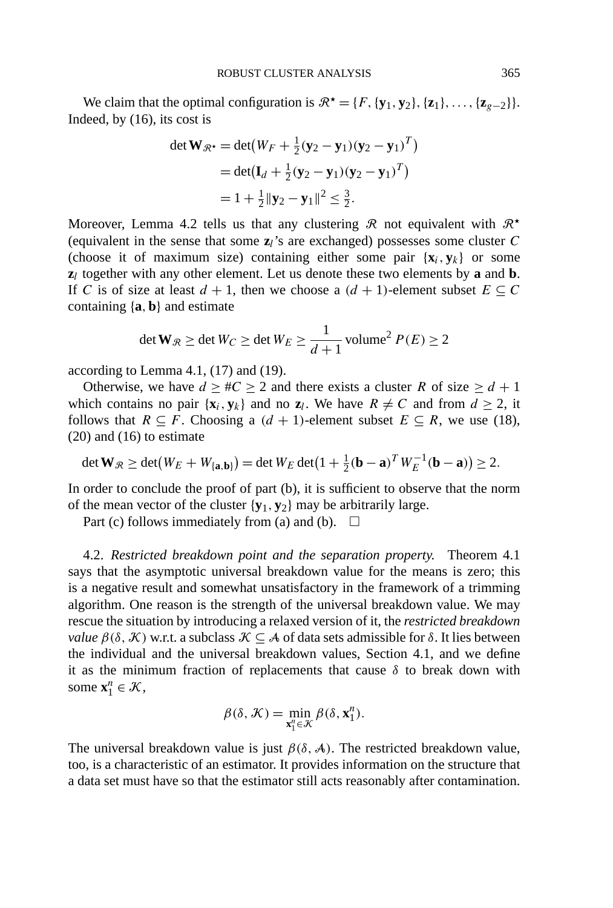We claim that the optimal configuration is  $\mathbb{R}^* = \{F, \{y_1, y_2\}, \{z_1\}, \ldots, \{z_{g-2}\}\}.$ Indeed, by (16), its cost is

$$
\det \mathbf{W}_{\mathcal{R}^*} = \det(W_F + \frac{1}{2}(\mathbf{y}_2 - \mathbf{y}_1)(\mathbf{y}_2 - \mathbf{y}_1)^T)
$$
  
= 
$$
\det(\mathbf{I}_d + \frac{1}{2}(\mathbf{y}_2 - \mathbf{y}_1)(\mathbf{y}_2 - \mathbf{y}_1)^T)
$$
  
= 
$$
1 + \frac{1}{2}||\mathbf{y}_2 - \mathbf{y}_1||^2 \le \frac{3}{2}.
$$

Moreover, Lemma 4.2 tells us that any clustering  $\mathcal R$  not equivalent with  $\mathcal R^{\star}$ (equivalent in the sense that some **z***l*'s are exchanged) possesses some cluster *C* (choose it of maximum size) containing either some pair  $\{x_i, y_k\}$  or some **z***<sup>l</sup>* together with any other element. Let us denote these two elements by **a** and **b**. If *C* is of size at least  $d + 1$ , then we choose a  $(d + 1)$ -element subset  $E \subseteq C$ containing {**a***,* **b**} and estimate

$$
\det \mathbf{W}_{\mathcal{R}} \ge \det W_C \ge \det W_E \ge \frac{1}{d+1} \,\text{volume}^2 \, P(E) \ge 2
$$

according to Lemma 4.1, (17) and (19).

Otherwise, we have  $d \geq \#C \geq 2$  and there exists a cluster *R* of size  $\geq d + 1$ which contains no pair  $\{x_i, y_k\}$  and no  $z_i$ . We have  $R \neq C$  and from  $d \geq 2$ , it follows that  $R \subseteq F$ . Choosing a  $(d + 1)$ -element subset  $E \subseteq R$ , we use (18), (20) and (16) to estimate

$$
\det \mathbf{W}_{\mathcal{R}} \geq \det(W_E + W_{\{\mathbf{a},\mathbf{b}\}}) = \det W_E \det(1 + \frac{1}{2}(\mathbf{b}-\mathbf{a})^T W_E^{-1}(\mathbf{b}-\mathbf{a})) \geq 2.
$$

In order to conclude the proof of part (b), it is sufficient to observe that the norm of the mean vector of the cluster  $\{y_1, y_2\}$  may be arbitrarily large.

Part (c) follows immediately from (a) and (b).  $\Box$ 

4.2. *Restricted breakdown point and the separation property.* Theorem 4.1 says that the asymptotic universal breakdown value for the means is zero; this is a negative result and somewhat unsatisfactory in the framework of a trimming algorithm. One reason is the strength of the universal breakdown value. We may rescue the situation by introducing a relaxed version of it, the *restricted breakdown value*  $\beta(\delta, \mathcal{K})$  w.r.t. a subclass  $\mathcal{K} \subseteq \mathcal{A}$  of data sets admissible for  $\delta$ . It lies between the individual and the universal breakdown values, Section 4.1, and we define it as the minimum fraction of replacements that cause  $\delta$  to break down with some  $\mathbf{x}_1^n \in \mathcal{K}$ ,

$$
\beta(\delta, \mathcal{K}) = \min_{\mathbf{x}_1^n \in \mathcal{K}} \beta(\delta, \mathbf{x}_1^n).
$$

The universal breakdown value is just  $\beta(\delta, \mathcal{A})$ . The restricted breakdown value, too, is a characteristic of an estimator. It provides information on the structure that a data set must have so that the estimator still acts reasonably after contamination.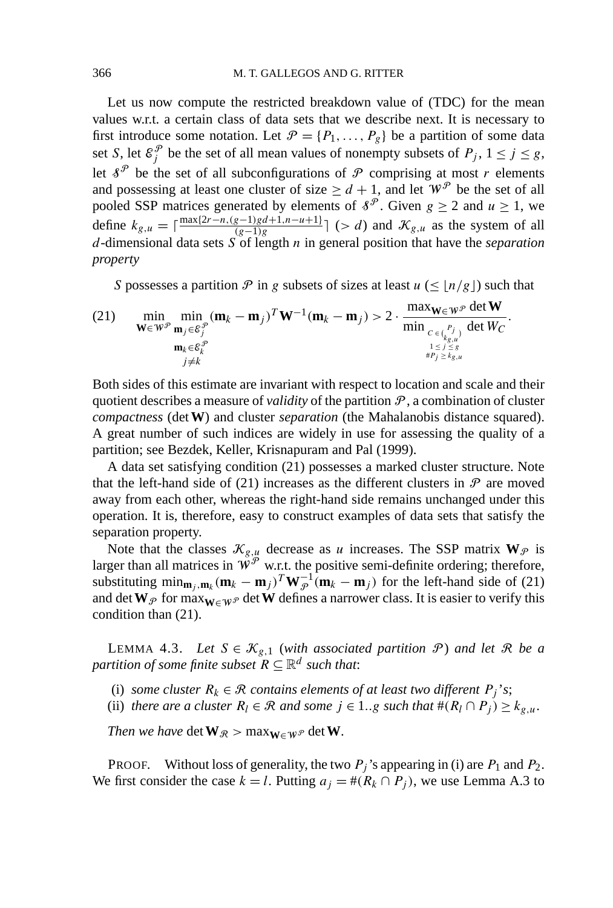Let us now compute the restricted breakdown value of (TDC) for the mean values w.r.t. a certain class of data sets that we describe next. It is necessary to first introduce some notation. Let  $\mathcal{P} = \{P_1, \ldots, P_g\}$  be a partition of some data set *S*, let  $\mathcal{E}_j^{\mathcal{P}}$  be the set of all mean values of nonempty subsets of  $P_j$ ,  $1 \le j \le g$ , let  $\delta^{\mathcal{P}}$  be the set of all subconfigurations of  $\mathcal{P}$  comprising at most *r* elements and possessing at least one cluster of size  $\geq d+1$ , and let  $W^{\mathcal{P}}$  be the set of all pooled SSP matrices generated by elements of  $\delta^{\mathcal{P}}$ . Given  $g \ge 2$  and  $u \ge 1$ , we define  $k_{g,u} = \lceil \frac{\max\{2r - n,(g-1)gd+1,n-u+1\}}{(g-1)g}\rceil$  (> *d*) and  $\mathcal{K}_{g,u}$  as the system of all *d*-dimensional data sets *S* of length *n* in general position that have the *separation property*

*S* possesses a partition  $\mathcal P$  in g subsets of sizes at least  $u \leq \lfloor n/g \rfloor$  such that

(21) 
$$
\min_{\mathbf{W} \in \mathcal{W}^{\mathcal{P}}} \min_{\mathbf{m}_j \in \mathcal{E}_j^{\mathcal{P}}} (\mathbf{m}_k - \mathbf{m}_j)^T \mathbf{W}^{-1} (\mathbf{m}_k - \mathbf{m}_j) > 2 \cdot \frac{\max_{\mathbf{W} \in \mathcal{W}^{\mathcal{P}}} \det \mathbf{W}}{\min_{\substack{c \in {P_j \choose k_{g,u} \\ 1 \le j \le g \\ \#P_j \ge k_{g,u}}}} \det W_C}.
$$

Both sides of this estimate are invariant with respect to location and scale and their quotient describes a measure of *validity* of the partition  $P$ , a combination of cluster *compactness* (det**W**) and cluster *separation* (the Mahalanobis distance squared). A great number of such indices are widely in use for assessing the quality of a partition; see Bezdek, Keller, Krisnapuram and Pal (1999).

A data set satisfying condition (21) possesses a marked cluster structure. Note that the left-hand side of (21) increases as the different clusters in  $\mathcal P$  are moved away from each other, whereas the right-hand side remains unchanged under this operation. It is, therefore, easy to construct examples of data sets that satisfy the separation property.

Note that the classes  $\mathcal{K}_{g,u}$  decrease as *u* increases. The SSP matrix  $\mathbf{W}_{\mathcal{P}}$  is larger than all matrices in  $\mathbf{W}^{\mathcal{P}}$  w.r.t. the positive semi-definite ordering; therefore, substituting  $\min_{\mathbf{m}_j, \mathbf{m}_k} (\mathbf{m}_k - \mathbf{m}_j)^T \mathbf{W}_{\mathcal{P}}^{-1} (\mathbf{m}_k - \mathbf{m}_j)$  for the left-hand side of (21) and det  $W_{\mathcal{P}}$  for max $_{W \in W^{\mathcal{P}}}$  det  $W$  defines a narrower class. It is easier to verify this condition than (21).

LEMMA 4.3. Let  $S \in \mathcal{K}_{g,1}$  (with associated partition  $\mathcal{P}$ ) and let  $\mathcal{R}$  be a *partition of some finite subset*  $\mathbb{R} \subseteq \mathbb{R}^d$  *such that:* 

(i) *some cluster*  $R_k \in \mathcal{R}$  *contains elements of at least two different*  $P_j$ '*s*;

(ii) *there are a cluster*  $R_l \in \mathcal{R}$  *and some*  $j \in 1..g$  *such that*  $\#(R_l \cap P_j) \geq k_{g,u}$ .

*Then we have* det  $\mathbf{W}_{\mathcal{R}} > \max_{\mathbf{W} \in \mathcal{W}^{\mathcal{P}}} \det \mathbf{W}$ .

PROOF. Without loss of generality, the two  $P_i$ 's appearing in (i) are  $P_1$  and  $P_2$ . We first consider the case  $k = l$ . Putting  $a_j = \#(R_k \cap P_j)$ , we use Lemma A.3 to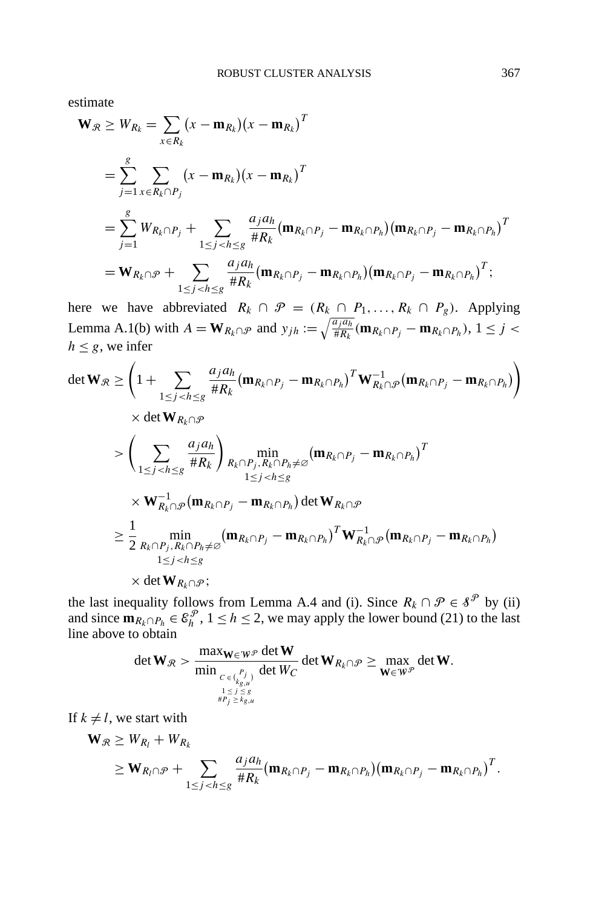estimate

$$
\mathbf{W}_{\mathcal{R}} \geq W_{R_k} = \sum_{x \in R_k} (x - \mathbf{m}_{R_k})(x - \mathbf{m}_{R_k})^T
$$
  
\n
$$
= \sum_{j=1}^g \sum_{x \in R_k \cap P_j} (x - \mathbf{m}_{R_k})(x - \mathbf{m}_{R_k})^T
$$
  
\n
$$
= \sum_{j=1}^g W_{R_k \cap P_j} + \sum_{1 \leq j < h \leq g} \frac{a_j a_h}{\# R_k} (\mathbf{m}_{R_k \cap P_j} - \mathbf{m}_{R_k \cap P_h}) (\mathbf{m}_{R_k \cap P_j} - \mathbf{m}_{R_k \cap P_h})^T
$$
  
\n
$$
= \mathbf{W}_{R_k \cap \mathcal{P}} + \sum_{1 \leq j < h \leq g} \frac{a_j a_h}{\# R_k} (\mathbf{m}_{R_k \cap P_j} - \mathbf{m}_{R_k \cap P_h}) (\mathbf{m}_{R_k \cap P_j} - \mathbf{m}_{R_k \cap P_h})^T;
$$

here we have abbreviated  $R_k \cap \mathcal{P} = (R_k \cap P_1, ..., R_k \cap P_g)$ . Applying Lemma A.1(b) with  $A = \mathbf{W}_{R_k \cap \mathcal{P}}$  and  $y_{jh} := \sqrt{\frac{a_j a_h}{\# R_k}} (\mathbf{m}_{R_k \cap P_j} - \mathbf{m}_{R_k \cap P_h}), 1 \le j < k$  $h \leq g$ , we infer

$$
\det \mathbf{W}_{\mathcal{R}} \geq \left(1 + \sum_{1 \leq j < h \leq g} \frac{a_j a_h}{\#R_k} (\mathbf{m}_{R_k \cap P_j} - \mathbf{m}_{R_k \cap P_h})^T \mathbf{W}_{R_k \cap \mathcal{P}}^{-1} (\mathbf{m}_{R_k \cap P_j} - \mathbf{m}_{R_k \cap P_h}) \right) \\
\times \det \mathbf{W}_{R_k \cap \mathcal{P}} \\
>\n\left( \sum_{1 \leq j < h \leq g} \frac{a_j a_h}{\#R_k} \right) \min_{R_k \cap P_j, R_k \cap P_h \neq \varnothing} (\mathbf{m}_{R_k \cap P_j} - \mathbf{m}_{R_k \cap P_h})^T \\
\times \mathbf{W}_{R_k \cap \mathcal{P}}^{-1} (\mathbf{m}_{R_k \cap P_j} - \mathbf{m}_{R_k \cap P_h}) \det \mathbf{W}_{R_k \cap \mathcal{P}} \\
\geq \frac{1}{2} \min_{R_k \cap P_j, R_k \cap P_h \neq \varnothing} (\mathbf{m}_{R_k \cap P_j} - \mathbf{m}_{R_k \cap P_h})^T \mathbf{W}_{R_k \cap \mathcal{P}}^{-1} (\mathbf{m}_{R_k \cap P_j} - \mathbf{m}_{R_k \cap P_h}) \\
\quad \leq j < h \leq g \\
\times \det \mathbf{W}_{R_k \cap \mathcal{P}};
$$

the last inequality follows from Lemma A.4 and (i). Since  $R_k \cap \mathcal{P} \in \mathcal{S}^{\mathcal{P}}$  by (ii) and since  $\mathbf{m}_{R_k \cap P_h} \in \mathcal{E}_h^{\mathcal{P}}, 1 \leq h \leq 2$ , we may apply the lower bound (21) to the last line above to obtain

$$
\det \mathbf{W}_{\mathcal{R}} > \frac{\max_{\mathbf{W} \in \mathbf{W}^{\mathcal{P}}} \det \mathbf{W}}{\min_{\substack{C \in {R_{g,u}^{(P)}} \\ 1 \le j \le s \\ \#\mathcal{P}_j \ge k_{g,u}}} \det W_C} \det \mathbf{W}_{R_k \cap \mathcal{P}} \ge \max_{\mathbf{W} \in \mathbf{W}^{\mathcal{P}}} \det \mathbf{W}.
$$

If  $k \neq l$ , we start with

$$
\mathbf{W}_{\mathcal{R}} \geq W_{R_l} + W_{R_k}
$$
\n
$$
\geq \mathbf{W}_{R_l \cap \mathcal{P}} + \sum_{1 \leq j < h \leq g} \frac{a_j a_h}{\#R_k} (\mathbf{m}_{R_k \cap P_j} - \mathbf{m}_{R_k \cap P_h}) (\mathbf{m}_{R_k \cap P_j} - \mathbf{m}_{R_k \cap P_h})^T.
$$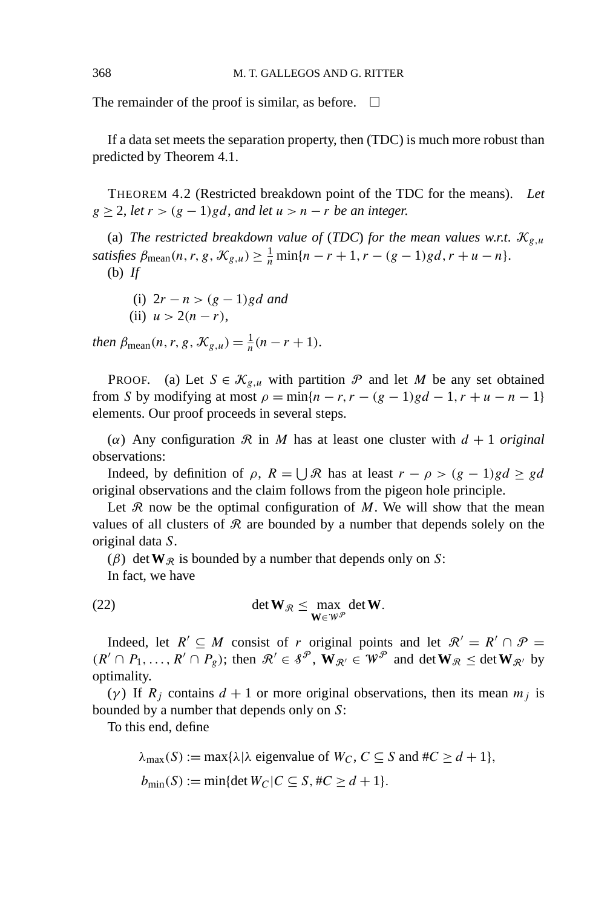The remainder of the proof is similar, as before.  $\Box$ 

If a data set meets the separation property, then (TDC) is much more robust than predicted by Theorem 4.1.

THEOREM 4.2 (Restricted breakdown point of the TDC for the means). *Let*  $g \geq 2$ , *let*  $r > (g - 1)gd$ , *and let*  $u > n - r$  *be an integer.* 

(a) *The restricted breakdown value of (TDC) for the mean values w.r.t.*  $\mathcal{K}_{g,\mu}$  $satisfies \beta_{\text{mean}}(n, r, g, \mathcal{K}_{g,u}) \geq \frac{1}{n} \min\{n - r + 1, r - (g - 1)gd, r + u - n\}.$ (b) *If*

- (i)  $2r n > (g 1)gd$  *and*
- (ii)  $u > 2(n r)$ ,

*then*  $\beta_{\text{mean}}(n, r, g, \mathcal{K}_{g,u}) = \frac{1}{n}(n - r + 1)$ .

PROOF. (a) Let  $S \in \mathcal{K}_{g,u}$  with partition  $\mathcal P$  and let  $M$  be any set obtained from *S* by modifying at most  $\rho = \min\{n - r, r - (g - 1)gd - 1, r + u - n - 1\}$ elements. Our proof proceeds in several steps.

( $\alpha$ ) Any configuration  $\Re$  in  $M$  has at least one cluster with  $d + 1$  *original* observations:

Indeed, by definition of  $\rho$ ,  $R = \bigcup \mathcal{R}$  has at least  $r - \rho > (g - 1)gd \geq gd$ original observations and the claim follows from the pigeon hole principle.

Let  $\mathcal R$  now be the optimal configuration of  $M$ . We will show that the mean values of all clusters of  $\Re$  are bounded by a number that depends solely on the original data *S*.

( $\beta$ ) det **W**<sub>R</sub> is bounded by a number that depends only on *S*:

In fact, we have

(22) 
$$
\det \mathbf{W}_{\mathcal{R}} \leq \max_{\mathbf{W} \in \mathcal{W}^{\mathcal{P}}} \det \mathbf{W}.
$$

Indeed, let  $R' \subseteq M$  consist of *r* original points and let  $\mathcal{R}' = R' \cap \mathcal{P} =$  $(R' \cap P_1, \ldots, R' \cap P_g)$ ; then  $\mathcal{R}' \in \mathcal{S}^{\mathcal{P}}$ ,  $\mathbf{W}_{\mathcal{R}'} \in \mathcal{W}^{\mathcal{P}}$  and  $\det \mathbf{W}_{\mathcal{R}} \leq \det \mathbf{W}_{\mathcal{R}'}$  by optimality.

(*γ* ) If *Rj* contains *d* + 1 or more original observations, then its mean *mj* is bounded by a number that depends only on *S*:

To this end, define

 $\lambda_{\text{max}}(S) := \max\{\lambda | \lambda \text{ eigenvalue of } W_C, C \subseteq S \text{ and } \#C \ge d + 1\},$  $b_{\min}(S) := \min\{\det W_C | C \subseteq S, \#C \ge d + 1\}.$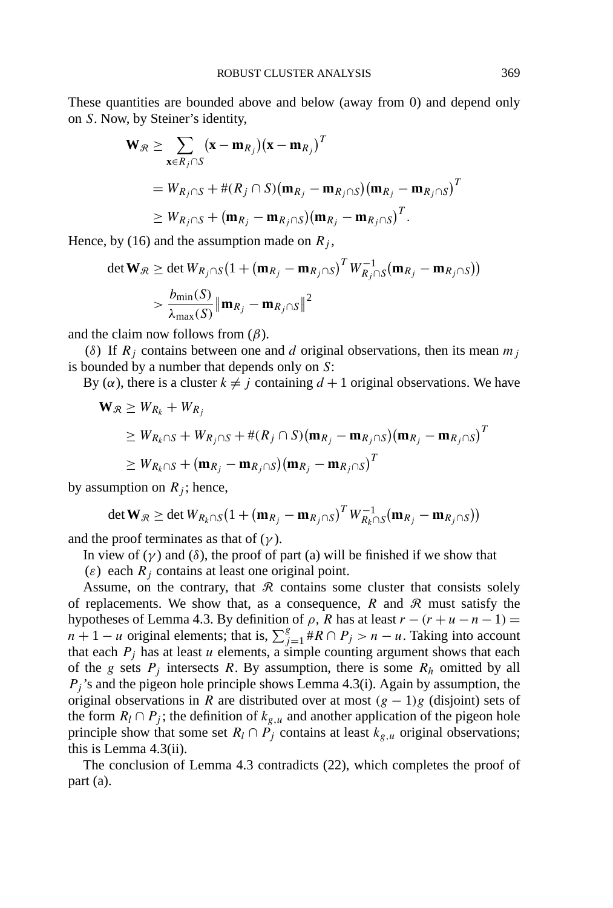These quantities are bounded above and below (away from 0) and depend only on *S*. Now, by Steiner's identity,

$$
\mathbf{W}_{\mathcal{R}} \geq \sum_{\mathbf{x} \in R_j \cap S} (\mathbf{x} - \mathbf{m}_{R_j}) (\mathbf{x} - \mathbf{m}_{R_j})^T
$$
  
=  $W_{R_j \cap S} + #(R_j \cap S) (\mathbf{m}_{R_j} - \mathbf{m}_{R_j \cap S}) (\mathbf{m}_{R_j} - \mathbf{m}_{R_j \cap S})^T$   
 $\geq W_{R_j \cap S} + (\mathbf{m}_{R_j} - \mathbf{m}_{R_j \cap S}) (\mathbf{m}_{R_j} - \mathbf{m}_{R_j \cap S})^T.$ 

Hence, by (16) and the assumption made on  $R_i$ ,

$$
\det \mathbf{W}_{\mathcal{R}} \geq \det W_{R_j \cap S} (1 + (\mathbf{m}_{R_j} - \mathbf{m}_{R_j \cap S})^T W_{R_j \cap S}^{-1} (\mathbf{m}_{R_j} - \mathbf{m}_{R_j \cap S}))
$$
  
> 
$$
\frac{b_{\min}(S)}{\lambda_{\max}(S)} ||\mathbf{m}_{R_j} - \mathbf{m}_{R_j \cap S}||^2
$$

and the claim now follows from  $(\beta)$ .

( $\delta$ ) If  $R_i$  contains between one and *d* original observations, then its mean  $m_i$ is bounded by a number that depends only on *S*:

By ( $\alpha$ ), there is a cluster  $k \neq j$  containing  $d+1$  original observations. We have

$$
\mathbf{W}_{\mathcal{R}} \geq W_{R_k} + W_{R_j}
$$
\n
$$
\geq W_{R_k \cap S} + W_{R_j \cap S} + \#(R_j \cap S)(\mathbf{m}_{R_j} - \mathbf{m}_{R_j \cap S})(\mathbf{m}_{R_j} - \mathbf{m}_{R_j \cap S})^T
$$
\n
$$
\geq W_{R_k \cap S} + (\mathbf{m}_{R_j} - \mathbf{m}_{R_j \cap S})(\mathbf{m}_{R_j} - \mathbf{m}_{R_j \cap S})^T
$$

by assumption on  $R_i$ ; hence,

$$
\det \mathbf{W}_{\mathcal{R}} \geq \det W_{R_k \cap S} \big(1 + (\mathbf{m}_{R_j} - \mathbf{m}_{R_j \cap S})^T W_{R_k \cap S}^{-1} (\mathbf{m}_{R_j} - \mathbf{m}_{R_j \cap S})\big)
$$

and the proof terminates as that of  $(\gamma)$ .

In view of  $(\gamma)$  and  $(\delta)$ , the proof of part (a) will be finished if we show that

( $\varepsilon$ ) each  $R_j$  contains at least one original point.

Assume, on the contrary, that  $\Re$  contains some cluster that consists solely of replacements. We show that, as a consequence,  $R$  and  $R$  must satisfy the hypotheses of Lemma 4.3. By definition of  $\rho$ , *R* has at least  $r - (r + u - n - 1) =$  $n + 1 - u$  original elements; that is,  $\sum_{j=1}^{g} {}^{*}R \cap P_j > n - u$ . Taking into account that each  $P_i$  has at least  $u$  elements, a simple counting argument shows that each of the *g* sets  $P_i$  intersects  $R$ . By assumption, there is some  $R_h$  omitted by all  $P_i$ 's and the pigeon hole principle shows Lemma 4.3(i). Again by assumption, the original observations in *R* are distributed over at most  $(g - 1)g$  (disjoint) sets of the form  $R_l \cap P_j$ ; the definition of  $k_{g,u}$  and another application of the pigeon hole principle show that some set  $R_l \cap P_j$  contains at least  $k_{g,u}$  original observations; this is Lemma 4.3(ii).

The conclusion of Lemma 4.3 contradicts (22), which completes the proof of part (a).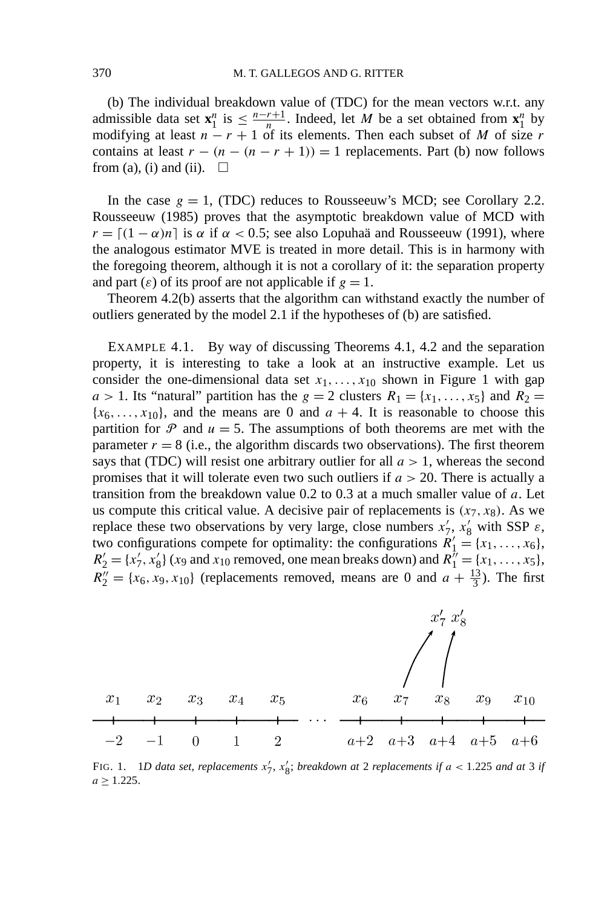(b) The individual breakdown value of (TDC) for the mean vectors w.r.t. any admissible data set  $\mathbf{x}_1^n$  is  $\leq \frac{n-r+1}{n}$ . Indeed, let *M* be a set obtained from  $\mathbf{x}_1^n$  by modifying at least  $n - r + 1$  of its elements. Then each subset of *M* of size *r* contains at least  $r - (n - (n - r + 1)) = 1$  replacements. Part (b) now follows from (a), (i) and (ii).  $\square$ 

In the case  $g = 1$ , (TDC) reduces to Rousseeuw's MCD; see Corollary 2.2. Rousseeuw (1985) proves that the asymptotic breakdown value of MCD with  $r = [(1 - \alpha)n]$  is  $\alpha$  if  $\alpha < 0.5$ ; see also Lopuhaä and Rousseeuw (1991), where the analogous estimator MVE is treated in more detail. This is in harmony with the foregoing theorem, although it is not a corollary of it: the separation property and part  $(\varepsilon)$  of its proof are not applicable if  $g = 1$ .

Theorem 4.2(b) asserts that the algorithm can withstand exactly the number of outliers generated by the model 2.1 if the hypotheses of (b) are satisfied.

EXAMPLE 4.1. By way of discussing Theorems 4.1, 4.2 and the separation property, it is interesting to take a look at an instructive example. Let us consider the one-dimensional data set  $x_1, \ldots, x_{10}$  shown in Figure 1 with gap  $a > 1$ . Its "natural" partition has the  $g = 2$  clusters  $R_1 = \{x_1, \ldots, x_5\}$  and  $R_2 =$  ${x_6, \ldots, x_{10}}$ , and the means are 0 and  $a + 4$ . It is reasonable to choose this partition for  $P$  and  $u = 5$ . The assumptions of both theorems are met with the parameter  $r = 8$  (i.e., the algorithm discards two observations). The first theorem says that (TDC) will resist one arbitrary outlier for all  $a > 1$ , whereas the second promises that it will tolerate even two such outliers if *a >* 20. There is actually a transition from the breakdown value 0.2 to 0.3 at a much smaller value of *a*. Let us compute this critical value. A decisive pair of replacements is  $(x_7, x_8)$ . As we replace these two observations by very large, close numbers  $x'_7$ ,  $x'_8$  with SSP  $\varepsilon$ , two configurations compete for optimality: the configurations  $R'_1 = \{x_1, \ldots, x_6\}$ ,  $R'_2 = \{x'_7, x'_8\}$  (*x*9 and *x*<sub>10</sub> removed, one mean breaks down) and  $R''_1 = \{x_1, \ldots, x_5\}$ ,  $R_2'' = \{x_6, x_9, x_{10}\}$  (replacements removed, means are 0 and  $a + \frac{13}{3}$ ). The first



FIG. 1. 1D data set, replacements  $x'_7$ ,  $x'_8$ ; *breakdown at* 2 *replacements if*  $a < 1.225$  *and at* 3 *if*  $a \geq 1.225$ .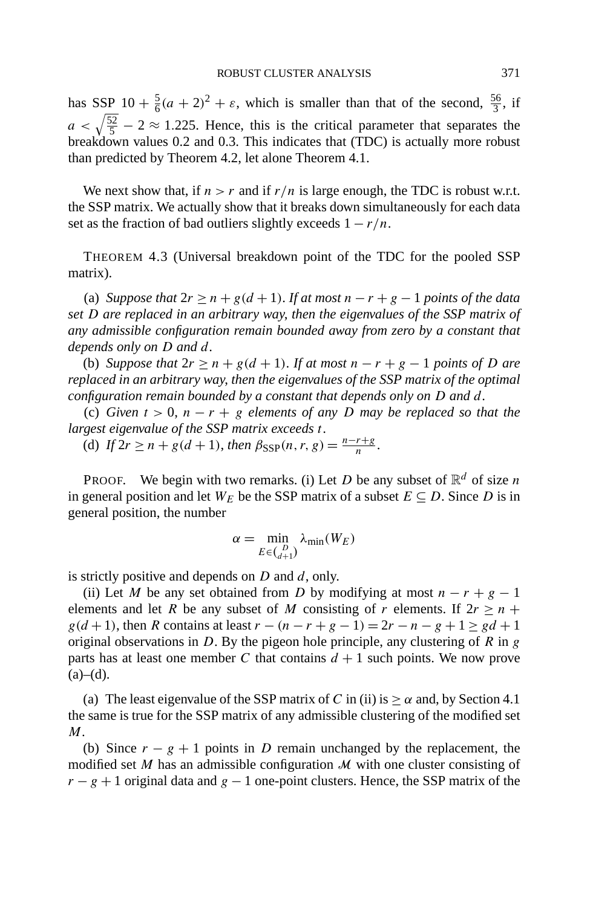has SSP  $10 + \frac{5}{6}(a+2)^2 + \varepsilon$ , which is smaller than that of the second,  $\frac{56}{3}$ , if  $a < \sqrt{\frac{52}{5}} - 2 \approx 1.225$ . Hence, this is the critical parameter that separates the breakdown values 0.2 and 0.3. This indicates that (TDC) is actually more robust than predicted by Theorem 4.2, let alone Theorem 4.1.

We next show that, if  $n > r$  and if  $r/n$  is large enough, the TDC is robust w.r.t. the SSP matrix. We actually show that it breaks down simultaneously for each data set as the fraction of bad outliers slightly exceeds  $1 - r/n$ .

THEOREM 4.3 (Universal breakdown point of the TDC for the pooled SSP matrix).

(a) *Suppose that*  $2r \ge n + g(d+1)$ . If at most  $n - r + g - 1$  points of the data *set D are replaced in an arbitrary way*, *then the eigenvalues of the SSP matrix of any admissible configuration remain bounded away from zero by a constant that depends only on D and d*.

(b) *Suppose that*  $2r \ge n + g(d+1)$ . If at most  $n - r + g - 1$  points of D are *replaced in an arbitrary way*, *then the eigenvalues of the SSP matrix of the optimal configuration remain bounded by a constant that depends only on D and d*.

(c) *Given t >* 0, *n* − *r* + *g elements of any D may be replaced so that the largest eigenvalue of the SSP matrix exceeds t*.

(d) *If*  $2r \ge n + g(d+1)$ , *then*  $\beta_{\text{SSP}}(n, r, g) = \frac{n - r + g}{n}$ .

PROOF. We begin with two remarks. (i) Let *D* be any subset of  $\mathbb{R}^d$  of size *n* in general position and let  $W_E$  be the SSP matrix of a subset  $E \subseteq D$ . Since *D* is in general position, the number

$$
\alpha = \min_{E \in {D \choose d+1}} \lambda_{\min}(W_E)
$$

is strictly positive and depends on *D* and *d*, only.

(ii) Let *M* be any set obtained from *D* by modifying at most  $n - r + g - 1$ elements and let *R* be any subset of *M* consisting of *r* elements. If  $2r \ge n + 1$ *g*(*d* + 1), then *R* contains at least  $r - (n - r + g - 1) = 2r - n - g + 1 \ge gd + 1$ original observations in *D*. By the pigeon hole principle, any clustering of *R* in *g* parts has at least one member *C* that contains  $d + 1$  such points. We now prove  $(a)–(d)$ .

(a) The least eigenvalue of the SSP matrix of *C* in (ii) is  $\geq \alpha$  and, by Section 4.1 the same is true for the SSP matrix of any admissible clustering of the modified set *M*.

(b) Since  $r - g + 1$  points in *D* remain unchanged by the replacement, the modified set  $M$  has an admissible configuration  $M$  with one cluster consisting of  $r - g + 1$  original data and  $g - 1$  one-point clusters. Hence, the SSP matrix of the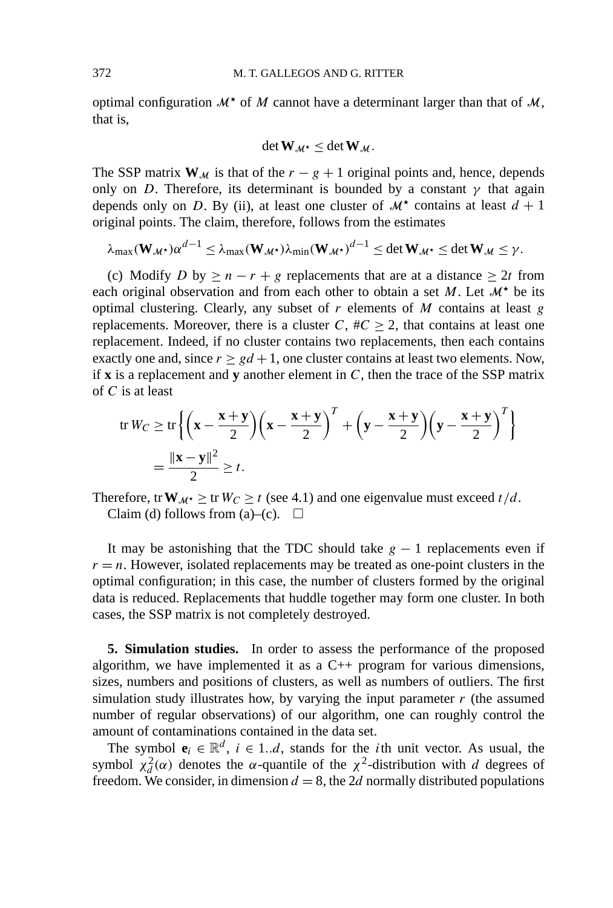optimal configuration  $\mathcal{M}^*$  of  $M$  cannot have a determinant larger than that of  $\mathcal{M}$ , that is,

$$
\det \mathbf{W}_{\mathcal{M}^{\star}} \leq \det \mathbf{W}_{\mathcal{M}}.
$$

The SSP matrix  $W_M$  is that of the  $r - g + 1$  original points and, hence, depends only on *D*. Therefore, its determinant is bounded by a constant  $\gamma$  that again depends only on *D*. By (ii), at least one cluster of  $M^*$  contains at least  $d + 1$ original points. The claim, therefore, follows from the estimates

$$
\lambda_{\max}(\mathbf{W}_{\mathcal{M}^*})\alpha^{d-1} \leq \lambda_{\max}(\mathbf{W}_{\mathcal{M}^*})\lambda_{\min}(\mathbf{W}_{\mathcal{M}^*})^{d-1} \leq \det \mathbf{W}_{\mathcal{M}^*} \leq \det \mathbf{W}_{\mathcal{M}} \leq \gamma.
$$

(c) Modify *D* by  $\geq n - r + g$  replacements that are at a distance  $\geq 2t$  from each original observation and from each other to obtain a set  $M$ . Let  $\mathcal{M}^*$  be its optimal clustering. Clearly, any subset of *r* elements of *M* contains at least *g* replacements. Moreover, there is a cluster  $C$ ,  $\#C \geq 2$ , that contains at least one replacement. Indeed, if no cluster contains two replacements, then each contains exactly one and, since  $r \geq gd + 1$ , one cluster contains at least two elements. Now, if **x** is a replacement and **y** another element in *C*, then the trace of the SSP matrix of *C* is at least

$$
\begin{aligned} \text{tr}\,W_C &\geq \text{tr}\left\{\left(\mathbf{x} - \frac{\mathbf{x} + \mathbf{y}}{2}\right)\left(\mathbf{x} - \frac{\mathbf{x} + \mathbf{y}}{2}\right)^T + \left(\mathbf{y} - \frac{\mathbf{x} + \mathbf{y}}{2}\right)\left(\mathbf{y} - \frac{\mathbf{x} + \mathbf{y}}{2}\right)^T\right\} \\ &= \frac{\|\mathbf{x} - \mathbf{y}\|^2}{2} \geq t. \end{aligned}
$$

Therefore, tr  $W_{M^*} \geq$  tr  $W_C \geq t$  (see 4.1) and one eigenvalue must exceed  $t/d$ . Claim (d) follows from (a)–(c).  $\square$ 

It may be astonishing that the TDC should take  $g - 1$  replacements even if  $r = n$ . However, isolated replacements may be treated as one-point clusters in the optimal configuration; in this case, the number of clusters formed by the original data is reduced. Replacements that huddle together may form one cluster. In both cases, the SSP matrix is not completely destroyed.

**5. Simulation studies.** In order to assess the performance of the proposed algorithm, we have implemented it as a C++ program for various dimensions, sizes, numbers and positions of clusters, as well as numbers of outliers. The first simulation study illustrates how, by varying the input parameter *r* (the assumed number of regular observations) of our algorithm, one can roughly control the amount of contaminations contained in the data set.

The symbol  $\mathbf{e}_i \in \mathbb{R}^d$ ,  $i \in 1...d$ , stands for the *i*th unit vector. As usual, the symbol  $\chi_d^2$  (α) denotes the *α*-quantile of the  $\chi^2$ -distribution with *d* degrees of freedom. We consider, in dimension  $d = 8$ , the 2d normally distributed populations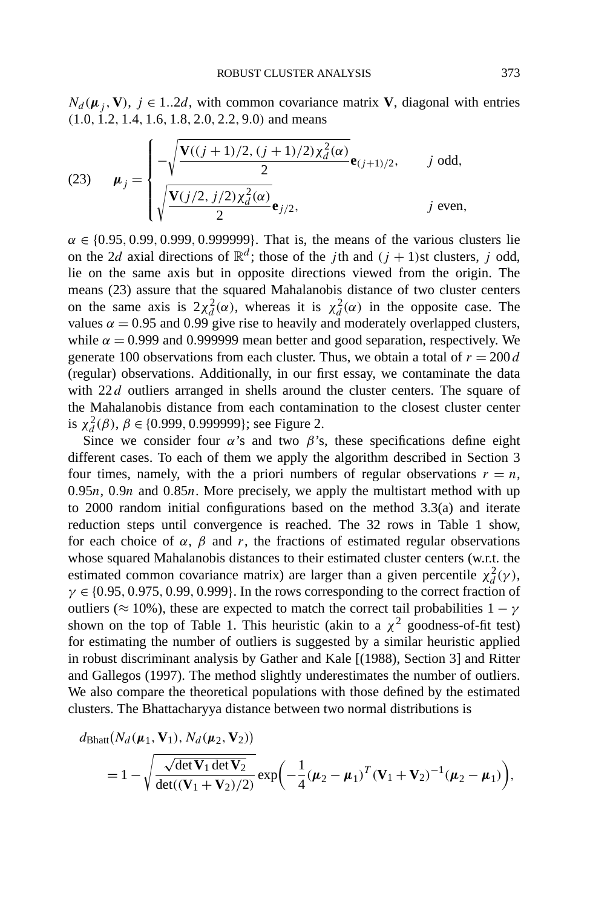$N_d(\mu_i, V)$ ,  $j \in 1..2d$ , with common covariance matrix **V**, diagonal with entries *(*1*.*0*,* 1*.*2*,* 1*.*4*,* 1*.*6*,* 1*.*8*,* 2*.*0*,* 2*.*2*,* 9*.*0*)* and means

(23) 
$$
\mu_j = \begin{cases}\n-\sqrt{\frac{V((j+1)/2, (j+1)/2)\chi_d^2(\alpha)}{2}} \mathbf{e}_{(j+1)/2}, & j \text{ odd}, \\
\sqrt{\frac{V(j/2, j/2)\chi_d^2(\alpha)}{2}} \mathbf{e}_{j/2}, & j \text{ even},\n\end{cases}
$$

 $\alpha \in \{0.95, 0.99, 0.999, 0.999999\}$ . That is, the means of the various clusters lie on the 2*d* axial directions of  $\mathbb{R}^d$ ; those of the *j*th and  $(j + 1)$ st clusters, *j* odd, lie on the same axis but in opposite directions viewed from the origin. The means (23) assure that the squared Mahalanobis distance of two cluster centers on the same axis is  $2\chi_d^2(\alpha)$ , whereas it is  $\chi_d^2(\alpha)$  in the opposite case. The values  $\alpha = 0.95$  and 0.99 give rise to heavily and moderately overlapped clusters, while  $\alpha = 0.999$  and 0.999999 mean better and good separation, respectively. We generate 100 observations from each cluster. Thus, we obtain a total of  $r = 200 d$ (regular) observations. Additionally, in our first essay, we contaminate the data with 22*d* outliers arranged in shells around the cluster centers. The square of the Mahalanobis distance from each contamination to the closest cluster center is  $\chi_d^2(\beta)$ ,  $\beta \in \{0.999, 0.999999\}$ ; see Figure 2.

Since we consider four  $\alpha$ 's and two  $\beta$ 's, these specifications define eight different cases. To each of them we apply the algorithm described in Section 3 four times, namely, with the a priori numbers of regular observations  $r = n$ , 0*.*95*n*, 0*.*9*n* and 0*.*85*n*. More precisely, we apply the multistart method with up to 2000 random initial configurations based on the method 3.3(a) and iterate reduction steps until convergence is reached. The 32 rows in Table 1 show, for each choice of  $\alpha$ ,  $\beta$  and  $r$ , the fractions of estimated regular observations whose squared Mahalanobis distances to their estimated cluster centers (w.r.t. the estimated common covariance matrix) are larger than a given percentile  $\chi_d^2(\gamma)$ , *γ* ∈ {0*.*95*,* 0*.*975*,* 0*.*99*,* 0*.*999}. In the rows corresponding to the correct fraction of outliers ( $\approx 10\%$ ), these are expected to match the correct tail probabilities  $1 - \gamma$ shown on the top of Table 1. This heuristic (akin to a  $\chi^2$  goodness-of-fit test) for estimating the number of outliers is suggested by a similar heuristic applied in robust discriminant analysis by Gather and Kale [(1988), Section 3] and Ritter and Gallegos (1997). The method slightly underestimates the number of outliers. We also compare the theoretical populations with those defined by the estimated clusters. The Bhattacharyya distance between two normal distributions is

$$
d_{\text{Bhatt}}(N_d(\boldsymbol{\mu}_1, \mathbf{V}_1), N_d(\boldsymbol{\mu}_2, \mathbf{V}_2))
$$
  
=  $1 - \sqrt{\frac{\sqrt{\det \mathbf{V}_1 \det \mathbf{V}_2}}{\det((\mathbf{V}_1 + \mathbf{V}_2)/2)}} \exp(-\frac{1}{4}(\boldsymbol{\mu}_2 - \boldsymbol{\mu}_1)^T (\mathbf{V}_1 + \mathbf{V}_2)^{-1}(\boldsymbol{\mu}_2 - \boldsymbol{\mu}_1)),$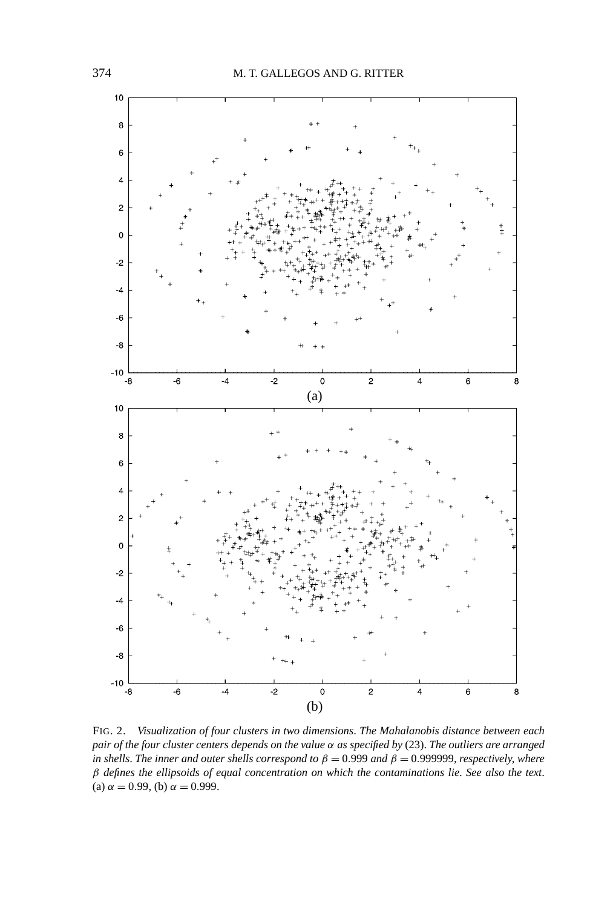

FIG. 2. *Visualization of four clusters in two dimensions*. *The Mahalanobis distance between each pair of the four cluster centers depends on the value α as specified by* (23). *The outliers are arranged in shells. The inner and outer shells correspond to*  $\beta = 0.999$  *and*  $\beta = 0.999999$ , *respectively*, *where β defines the ellipsoids of equal concentration on which the contaminations lie*. *See also the text*. (a)  $\alpha = 0.99$ , (b)  $\alpha = 0.999$ .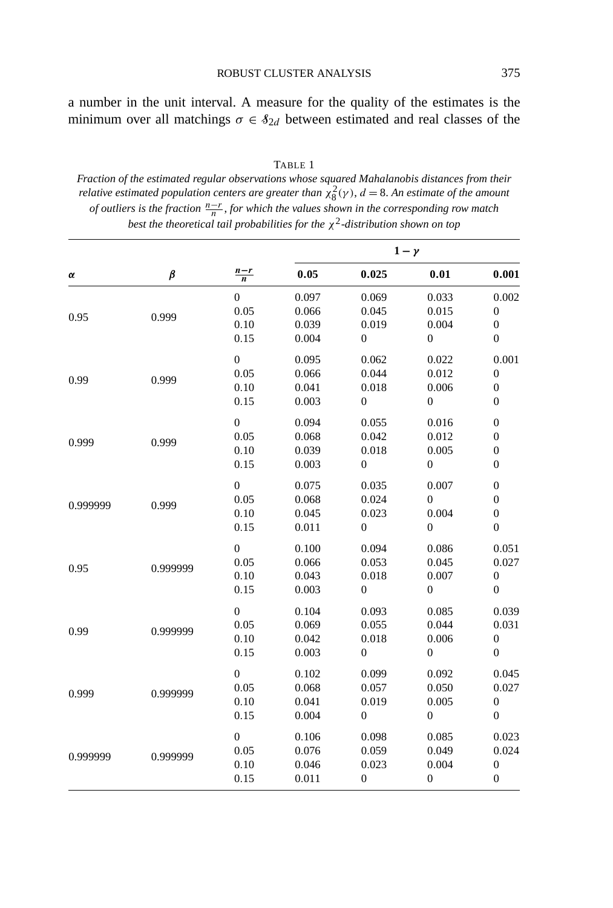ROBUST CLUSTER ANALYSIS 375

a number in the unit interval. A measure for the quality of the estimates is the minimum over all matchings  $\sigma \in \mathcal{S}_{2d}$  between estimated and real classes of the

TABLE 1 *Fraction of the estimated regular observations whose squared Mahalanobis distances from their relative estimated population centers are greater than*  $\chi_8^2(\gamma)$ ,  $d = 8$ . An estimate of the amount *of outliers is the fraction*  $\frac{n-r}{n}$ , *for which the values shown in the corresponding row match best the theoretical tail probabilities for the χ*2*-distribution shown on top*

|          |               |                  | $1-\gamma$ |                                                                                                                                                                                                                                                                                                                                                                                                                                                       |                                                                 |                  |
|----------|---------------|------------------|------------|-------------------------------------------------------------------------------------------------------------------------------------------------------------------------------------------------------------------------------------------------------------------------------------------------------------------------------------------------------------------------------------------------------------------------------------------------------|-----------------------------------------------------------------|------------------|
| α        | $\pmb{\beta}$ | $\frac{n-r}{n}$  | 0.05       | 0.025                                                                                                                                                                                                                                                                                                                                                                                                                                                 | 0.01                                                            | 0.001            |
|          | 0.999         | $\boldsymbol{0}$ | 0.097      | 0.069                                                                                                                                                                                                                                                                                                                                                                                                                                                 | 0.033                                                           | 0.002            |
| 0.95     |               | 0.05             | 0.066      | 0.045                                                                                                                                                                                                                                                                                                                                                                                                                                                 | 0.015                                                           | $\boldsymbol{0}$ |
|          |               | 0.10             | 0.039      | 0.019                                                                                                                                                                                                                                                                                                                                                                                                                                                 | 0.004                                                           | $\boldsymbol{0}$ |
|          |               | 0.15             | 0.004      | $\boldsymbol{0}$                                                                                                                                                                                                                                                                                                                                                                                                                                      | $\boldsymbol{0}$                                                | $\boldsymbol{0}$ |
|          |               | $\boldsymbol{0}$ | 0.095      | 0.062                                                                                                                                                                                                                                                                                                                                                                                                                                                 | 0.022                                                           | 0.001            |
| 0.99     | 0.999         | 0.05             | 0.066      | 0.044                                                                                                                                                                                                                                                                                                                                                                                                                                                 | 0.012                                                           | $\boldsymbol{0}$ |
|          |               | 0.10             | 0.041      | 0.018                                                                                                                                                                                                                                                                                                                                                                                                                                                 | 0.006                                                           | $\boldsymbol{0}$ |
|          |               | 0.15             | 0.003      | $\boldsymbol{0}$                                                                                                                                                                                                                                                                                                                                                                                                                                      | $\boldsymbol{0}$                                                | $\boldsymbol{0}$ |
|          |               | $\boldsymbol{0}$ | 0.094      | 0.055<br>0.016<br>0.042<br>0.012<br>0.018<br>0.005<br>$\boldsymbol{0}$<br>$\boldsymbol{0}$<br>0.035<br>0.007<br>0.024<br>$\boldsymbol{0}$<br>0.023<br>0.004<br>$\boldsymbol{0}$<br>$\boldsymbol{0}$<br>0.094<br>0.086<br>0.053<br>0.045<br>0.018<br>0.007<br>$\boldsymbol{0}$<br>$\boldsymbol{0}$<br>0.093<br>0.085<br>0.055<br>0.044<br>0.018<br>0.006<br>$\boldsymbol{0}$<br>$\boldsymbol{0}$<br>0.099<br>0.092<br>0.057<br>0.050<br>0.019<br>0.005 |                                                                 | $\boldsymbol{0}$ |
| 0.999    | 0.999         | 0.05             | 0.068      |                                                                                                                                                                                                                                                                                                                                                                                                                                                       |                                                                 | $\boldsymbol{0}$ |
|          |               | 0.10             | 0.039      |                                                                                                                                                                                                                                                                                                                                                                                                                                                       |                                                                 | $\boldsymbol{0}$ |
|          |               | 0.15             | 0.003      |                                                                                                                                                                                                                                                                                                                                                                                                                                                       |                                                                 | $\boldsymbol{0}$ |
| 0.999999 | 0.999         | $\boldsymbol{0}$ | 0.075      |                                                                                                                                                                                                                                                                                                                                                                                                                                                       |                                                                 | $\boldsymbol{0}$ |
|          |               | 0.05             | 0.068      |                                                                                                                                                                                                                                                                                                                                                                                                                                                       |                                                                 | $\boldsymbol{0}$ |
|          |               | 0.10             | 0.045      |                                                                                                                                                                                                                                                                                                                                                                                                                                                       |                                                                 | $\boldsymbol{0}$ |
|          |               | 0.15             | 0.011      |                                                                                                                                                                                                                                                                                                                                                                                                                                                       | $\boldsymbol{0}$                                                |                  |
|          |               | $\overline{0}$   | 0.100      |                                                                                                                                                                                                                                                                                                                                                                                                                                                       |                                                                 | 0.051            |
| 0.95     | 0.999999      | 0.05             | 0.066      |                                                                                                                                                                                                                                                                                                                                                                                                                                                       |                                                                 | 0.027            |
|          |               | 0.10             | 0.043      |                                                                                                                                                                                                                                                                                                                                                                                                                                                       |                                                                 | $\boldsymbol{0}$ |
|          |               | 0.15             | 0.003      |                                                                                                                                                                                                                                                                                                                                                                                                                                                       | $\boldsymbol{0}$<br>0.085<br>0.049<br>0.004<br>$\boldsymbol{0}$ | $\boldsymbol{0}$ |
|          |               | $\boldsymbol{0}$ | 0.104      |                                                                                                                                                                                                                                                                                                                                                                                                                                                       |                                                                 | 0.039            |
| 0.99     | 0.999999      | 0.05             | 0.069      |                                                                                                                                                                                                                                                                                                                                                                                                                                                       |                                                                 | 0.031            |
|          |               | 0.10             | 0.042      |                                                                                                                                                                                                                                                                                                                                                                                                                                                       |                                                                 | $\boldsymbol{0}$ |
|          |               | 0.15             | 0.003      |                                                                                                                                                                                                                                                                                                                                                                                                                                                       |                                                                 | $\boldsymbol{0}$ |
| 0.999    | 0.999999      | $\boldsymbol{0}$ | 0.102      |                                                                                                                                                                                                                                                                                                                                                                                                                                                       |                                                                 | 0.045            |
|          |               | 0.05             | 0.068      |                                                                                                                                                                                                                                                                                                                                                                                                                                                       |                                                                 | 0.027            |
|          |               | 0.10             | 0.041      |                                                                                                                                                                                                                                                                                                                                                                                                                                                       |                                                                 | $\boldsymbol{0}$ |
|          |               | 0.15             | 0.004      | $\boldsymbol{0}$                                                                                                                                                                                                                                                                                                                                                                                                                                      |                                                                 | $\boldsymbol{0}$ |
| 0.999999 | 0.999999      | $\boldsymbol{0}$ | 0.106      | 0.098                                                                                                                                                                                                                                                                                                                                                                                                                                                 |                                                                 | 0.023            |
|          |               | 0.05             | 0.076      | 0.059                                                                                                                                                                                                                                                                                                                                                                                                                                                 |                                                                 | 0.024            |
|          |               | 0.10             | 0.046      | 0.023                                                                                                                                                                                                                                                                                                                                                                                                                                                 |                                                                 | $\boldsymbol{0}$ |
|          |               | 0.15             | 0.011      | $\boldsymbol{0}$                                                                                                                                                                                                                                                                                                                                                                                                                                      |                                                                 | $\boldsymbol{0}$ |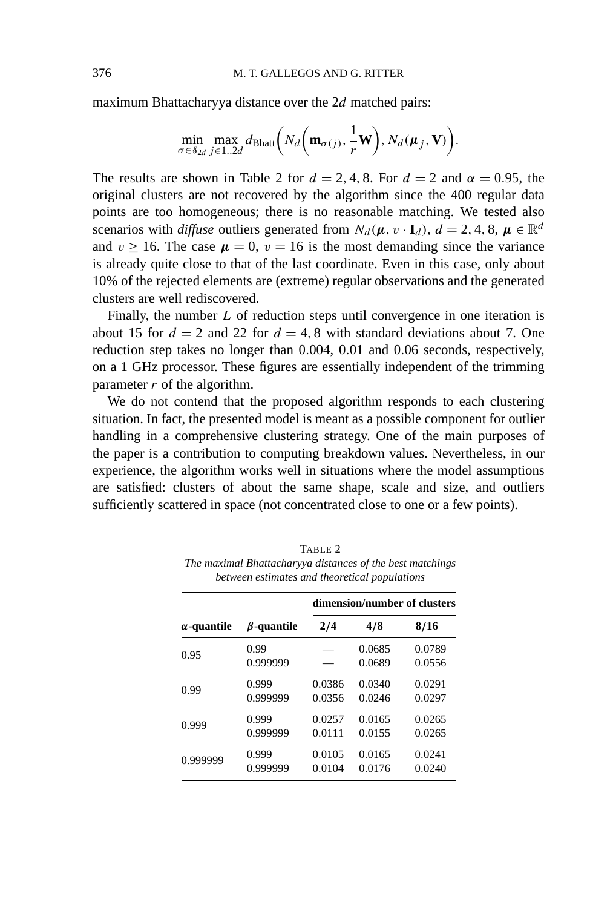maximum Bhattacharyya distance over the 2*d* matched pairs:

$$
\min_{\sigma \in \mathcal{S}_{2d}} \max_{j \in 1..2d} d_{\text{Bhatt}} \bigg( N_d \bigg( \mathbf{m}_{\sigma(j)}, \frac{1}{r} \mathbf{W} \bigg), N_d(\boldsymbol{\mu}_j, \mathbf{V}) \bigg).
$$

The results are shown in Table 2 for  $d = 2, 4, 8$ . For  $d = 2$  and  $\alpha = 0.95$ , the original clusters are not recovered by the algorithm since the 400 regular data points are too homogeneous; there is no reasonable matching. We tested also scenarios with *diffuse* outliers generated from  $N_d(\mu, v \cdot I_d)$ ,  $d = 2, 4, 8, \mu \in \mathbb{R}^d$ and  $v \ge 16$ . The case  $\mu = 0$ ,  $v = 16$  is the most demanding since the variance is already quite close to that of the last coordinate. Even in this case, only about 10% of the rejected elements are (extreme) regular observations and the generated clusters are well rediscovered.

Finally, the number *L* of reduction steps until convergence in one iteration is about 15 for  $d = 2$  and 22 for  $d = 4, 8$  with standard deviations about 7. One reduction step takes no longer than 0*.*004, 0*.*01 and 0*.*06 seconds, respectively, on a 1 GHz processor. These figures are essentially independent of the trimming parameter *r* of the algorithm.

We do not contend that the proposed algorithm responds to each clustering situation. In fact, the presented model is meant as a possible component for outlier handling in a comprehensive clustering strategy. One of the main purposes of the paper is a contribution to computing breakdown values. Nevertheless, in our experience, the algorithm works well in situations where the model assumptions are satisfied: clusters of about the same shape, scale and size, and outliers sufficiently scattered in space (not concentrated close to one or a few points).

|                    |                   | dimension/number of clusters |                  |                  |  |
|--------------------|-------------------|------------------------------|------------------|------------------|--|
| $\alpha$ -quantile | $\beta$ -quantile | 2/4                          | 4/8              | 8/16             |  |
| 0.95               | 0.99<br>0.999999  |                              | 0.0685<br>0.0689 | 0.0789<br>0.0556 |  |
| 0.99               | 0.999             | 0.0386                       | 0.0340           | 0.0291           |  |
|                    | 0.999999          | 0.0356                       | 0.0246           | 0.0297           |  |
| 0.999              | 0.999             | 0.0257                       | 0.0165           | 0.0265           |  |
|                    | 0.999999          | 0.0111                       | 0.0155           | 0.0265           |  |
| 0.999999           | 0.999             | 0.0105                       | 0.0165           | 0.0241           |  |
|                    | 0.999999          | 0.0104                       | 0.0176           | 0.0240           |  |

TABLE 2 *The maximal Bhattacharyya distances of the best matchings between estimates and theoretical populations*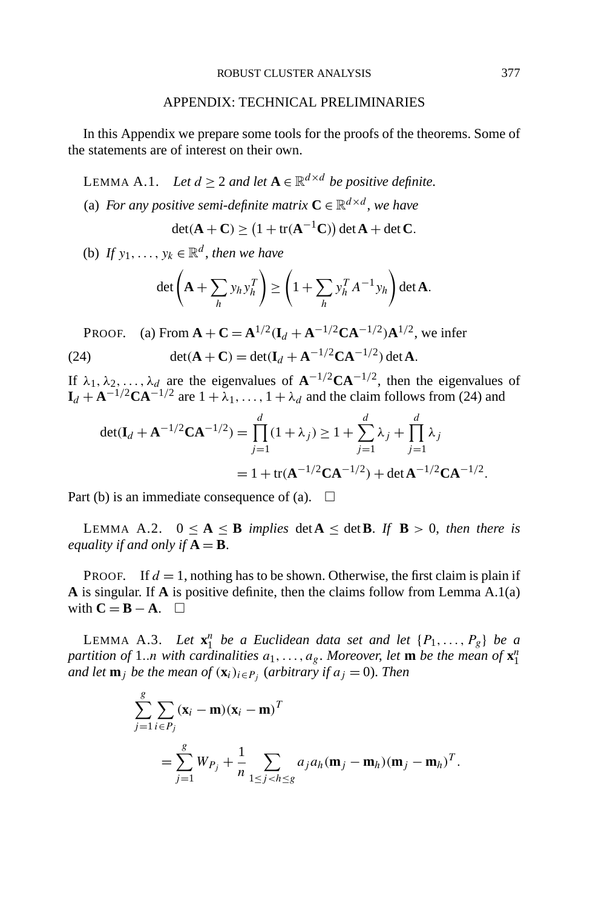## APPENDIX: TECHNICAL PRELIMINARIES

In this Appendix we prepare some tools for the proofs of the theorems. Some of the statements are of interest on their own.

LEMMA A.1. *Let*  $d \geq 2$  *and let*  $A \in \mathbb{R}^{d \times d}$  *be positive definite.* 

(a) *For any positive semi-definite matrix*  $C \in \mathbb{R}^{d \times d}$ , *we have* 

$$
\det(\mathbf{A} + \mathbf{C}) \ge (1 + \text{tr}(\mathbf{A}^{-1}\mathbf{C})) \det \mathbf{A} + \det \mathbf{C}.
$$

(b) *If*  $y_1, \ldots, y_k \in \mathbb{R}^d$ , *then we have* 

$$
\det\left(\mathbf{A} + \sum_{h} y_h y_h^T\right) \ge \left(1 + \sum_{h} y_h^T A^{-1} y_h\right) \det \mathbf{A}.
$$

**PROOF.** (a) From  $\mathbf{A} + \mathbf{C} = \mathbf{A}^{1/2} (\mathbf{I}_d + \mathbf{A}^{-1/2} \mathbf{C} \mathbf{A}^{-1/2}) \mathbf{A}^{1/2}$ , we infer

(24) 
$$
\det(\mathbf{A} + \mathbf{C}) = \det(\mathbf{I}_d + \mathbf{A}^{-1/2}\mathbf{C}\mathbf{A}^{-1/2}) \det \mathbf{A}.
$$

If  $\lambda_1, \lambda_2, \ldots, \lambda_d$  are the eigenvalues of  $\mathbf{A}^{-1/2} \mathbf{C} \mathbf{A}^{-1/2}$ , then the eigenvalues of  $I_d + A^{-1/2}CA^{-1/2}$  are  $1 + \lambda_1, \ldots, 1 + \lambda_d$  and the claim follows from (24) and

$$
\det(\mathbf{I}_d + \mathbf{A}^{-1/2}\mathbf{C}\mathbf{A}^{-1/2}) = \prod_{j=1}^d (1 + \lambda_j) \ge 1 + \sum_{j=1}^d \lambda_j + \prod_{j=1}^d \lambda_j
$$
  
= 1 + tr( $\mathbf{A}^{-1/2}\mathbf{C}\mathbf{A}^{-1/2}$ ) + det  $\mathbf{A}^{-1/2}\mathbf{C}\mathbf{A}^{-1/2}$ .

Part (b) is an immediate consequence of (a).  $\Box$ 

LEMMA A.2.  $0 \le A \le B$  *implies* det $A \le det B$ . If  $B > 0$ , then there is *equality if and only if*  $A = B$ .

**PROOF.** If  $d = 1$ , nothing has to be shown. Otherwise, the first claim is plain if **A** is singular. If **A** is positive definite, then the claims follow from Lemma A.1(a) with  $C = B - A$ .  $\Box$ 

LEMMA A.3. *Let*  $\mathbf{x}_1^n$  *be a Euclidean data set and let*  $\{P_1, \ldots, P_g\}$  *be a partition of* 1*..n with cardinalities a*1*,...,ag*. *Moreover*, *let* **m** *be the mean of* **x***<sup>n</sup>* 1 *and let*  $\mathbf{m}_j$  *be the mean of*  $(\mathbf{x}_i)_{i \in P_j}$  (*arbitrary if*  $a_j = 0$ *). Then* 

$$
\sum_{j=1}^{g} \sum_{i \in P_j} (\mathbf{x}_i - \mathbf{m})(\mathbf{x}_i - \mathbf{m})^T
$$
  
= 
$$
\sum_{j=1}^{g} W_{P_j} + \frac{1}{n} \sum_{1 \le j < h \le g} a_j a_h (\mathbf{m}_j - \mathbf{m}_h)(\mathbf{m}_j - \mathbf{m}_h)^T.
$$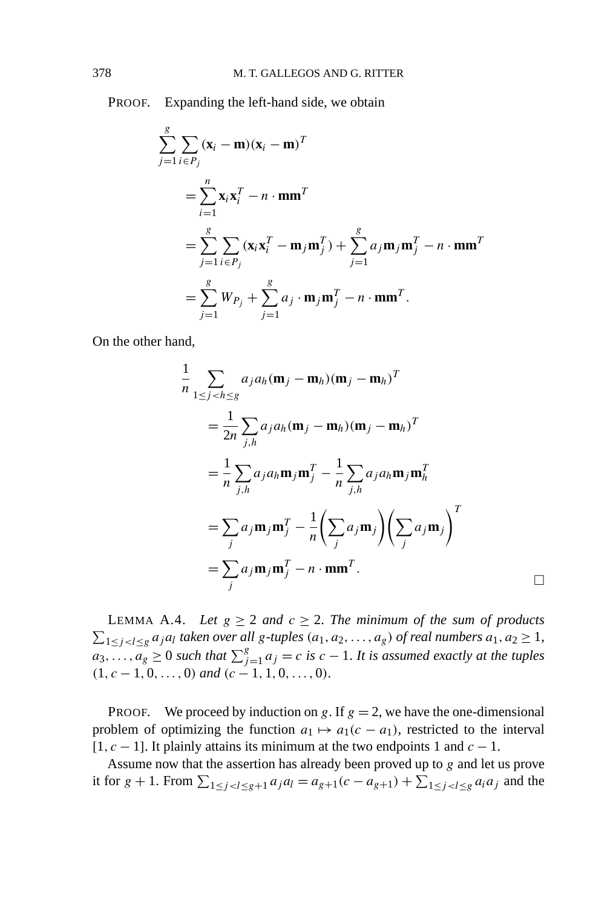PROOF. Expanding the left-hand side, we obtain

$$
\sum_{j=1}^{g} \sum_{i \in P_j} (\mathbf{x}_i - \mathbf{m})(\mathbf{x}_i - \mathbf{m})^T
$$
  
= 
$$
\sum_{i=1}^{n} \mathbf{x}_i \mathbf{x}_i^T - n \cdot \mathbf{m} \mathbf{m}^T
$$
  
= 
$$
\sum_{j=1}^{g} \sum_{i \in P_j} (\mathbf{x}_i \mathbf{x}_i^T - \mathbf{m}_j \mathbf{m}_j^T) + \sum_{j=1}^{g} a_j \mathbf{m}_j \mathbf{m}_j^T - n \cdot \mathbf{m} \mathbf{m}^T
$$
  
= 
$$
\sum_{j=1}^{g} W_{P_j} + \sum_{j=1}^{g} a_j \cdot \mathbf{m}_j \mathbf{m}_j^T - n \cdot \mathbf{m} \mathbf{m}^T.
$$

On the other hand,

$$
\frac{1}{n} \sum_{1 \le j < h \le g} a_j a_h (\mathbf{m}_j - \mathbf{m}_h) (\mathbf{m}_j - \mathbf{m}_h)^T
$$
\n
$$
= \frac{1}{2n} \sum_{j,h} a_j a_h (\mathbf{m}_j - \mathbf{m}_h) (\mathbf{m}_j - \mathbf{m}_h)^T
$$
\n
$$
= \frac{1}{n} \sum_{j,h} a_j a_h \mathbf{m}_j \mathbf{m}_j^T - \frac{1}{n} \sum_{j,h} a_j a_h \mathbf{m}_j \mathbf{m}_h^T
$$
\n
$$
= \sum_j a_j \mathbf{m}_j \mathbf{m}_j^T - \frac{1}{n} \left( \sum_j a_j \mathbf{m}_j \right) \left( \sum_j a_j \mathbf{m}_j \right)^T
$$
\n
$$
= \sum_j a_j \mathbf{m}_j \mathbf{m}_j^T - n \cdot \mathbf{m} \mathbf{m}^T.
$$

LEMMA A.4. *Let*  $g \ge 2$  *and*  $c \ge 2$ . *The minimum of the sum of products*  $\sum_{1 \leq j < l \leq g} a_j a_l$  taken over all g-tuples  $(a_1, a_2, ..., a_g)$  of real numbers  $a_1, a_2 ≥ 1$ ,  $a_3, \ldots, a_g \geq 0$  *such that*  $\sum_{j=1}^g a_j = c$  *is*  $c - 1$ *. It is assumed exactly at the tuples*  $(1, c - 1, 0, \ldots, 0)$  *and*  $(c - 1, 1, 0, \ldots, 0)$ .

**PROOF.** We proceed by induction on *g*. If  $g = 2$ , we have the one-dimensional problem of optimizing the function  $a_1 \mapsto a_1(c - a_1)$ , restricted to the interval [1*, c* − 1]. It plainly attains its minimum at the two endpoints 1 and *c* − 1.

Assume now that the assertion has already been proved up to *g* and let us prove it for  $g + 1$ . From  $\sum_{1 \le j < l \le g+1} a_j a_l = a_{g+1}(c - a_{g+1}) + \sum_{1 \le j < l \le g} a_i a_j$  and the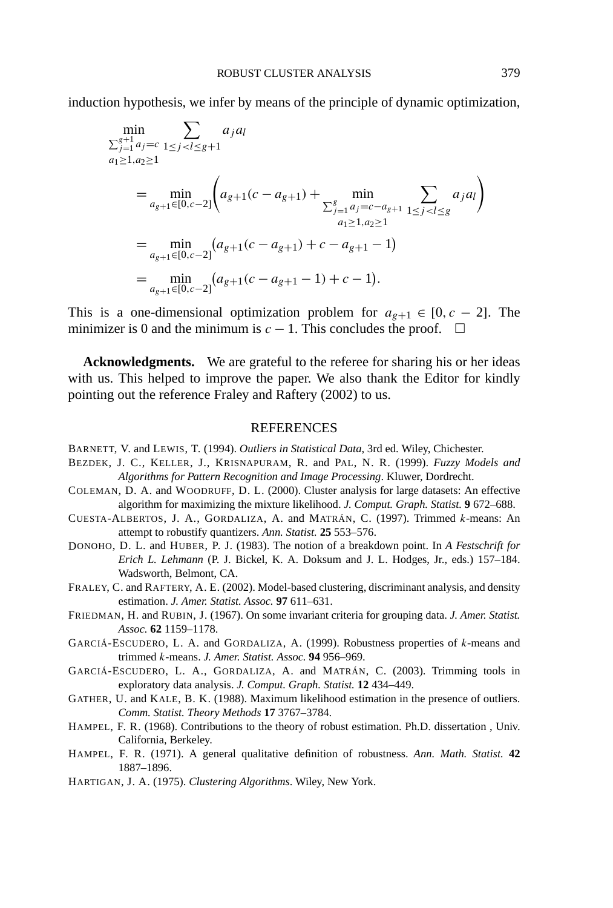induction hypothesis, we infer by means of the principle of dynamic optimization,

$$
\min_{\substack{\sum_{j=1}^{g+1} a_j = c}} \sum_{1 \le j < l \le g+1} a_j a_l
$$
\n
$$
a_1 \ge 1, a_2 \ge 1
$$
\n
$$
= \min_{a_{g+1} \in [0, c-2]} \left( a_{g+1} (c - a_{g+1}) + \min_{\substack{\sum_{j=1}^g a_j = c - a_{g+1} \\ a_1 \ge 1, a_2 \ge 1}} \sum_{1 \le j < l \le g} a_j a_l \right)
$$
\n
$$
= \min_{a_{g+1} \in [0, c-2]} (a_{g+1} (c - a_{g+1}) + c - a_{g+1} - 1)
$$
\n
$$
= \min_{a_{g+1} \in [0, c-2]} (a_{g+1} (c - a_{g+1} - 1) + c - 1).
$$

This is a one-dimensional optimization problem for  $a_{g+1} \in [0, c - 2]$ . The minimizer is 0 and the minimum is  $c - 1$ . This concludes the proof.  $\square$ 

**Acknowledgments.** We are grateful to the referee for sharing his or her ideas with us. This helped to improve the paper. We also thank the Editor for kindly pointing out the reference Fraley and Raftery (2002) to us.

## REFERENCES

- BARNETT, V. and LEWIS, T. (1994). *Outliers in Statistical Data*, 3rd ed. Wiley, Chichester.
- BEZDEK, J. C., KELLER, J., KRISNAPURAM, R. and PAL, N. R. (1999). *Fuzzy Models and Algorithms for Pattern Recognition and Image Processing*. Kluwer, Dordrecht.
- COLEMAN, D. A. and WOODRUFF, D. L. (2000). Cluster analysis for large datasets: An effective algorithm for maximizing the mixture likelihood. *J. Comput. Graph. Statist.* **9** 672–688.
- CUESTA-ALBERTOS, J. A., GORDALIZA, A. and MATRÁN, C. (1997). Trimmed *k*-means: An attempt to robustify quantizers. *Ann. Statist.* **25** 553–576.
- DONOHO, D. L. and HUBER, P. J. (1983). The notion of a breakdown point. In *A Festschrift for Erich L. Lehmann* (P. J. Bickel, K. A. Doksum and J. L. Hodges, Jr., eds.) 157–184. Wadsworth, Belmont, CA.
- FRALEY, C. and RAFTERY, A. E. (2002). Model-based clustering, discriminant analysis, and density estimation. *J. Amer. Statist. Assoc.* **97** 611–631.
- FRIEDMAN, H. and RUBIN, J. (1967). On some invariant criteria for grouping data. *J. Amer. Statist. Assoc.* **62** 1159–1178.
- GARCIÁ-ESCUDERO, L. A. and GORDALIZA, A. (1999). Robustness properties of *k*-means and trimmed *k*-means. *J. Amer. Statist. Assoc.* **94** 956–969.
- GARCIÁ-ESCUDERO, L. A., GORDALIZA, A. and MATRÁN, C. (2003). Trimming tools in exploratory data analysis. *J. Comput. Graph. Statist.* **12** 434–449.
- GATHER, U. and KALE, B. K. (1988). Maximum likelihood estimation in the presence of outliers. *Comm. Statist. Theory Methods* **17** 3767–3784.
- HAMPEL, F. R. (1968). Contributions to the theory of robust estimation. Ph.D. dissertation , Univ. California, Berkeley.
- HAMPEL, F. R. (1971). A general qualitative definition of robustness. *Ann. Math. Statist.* **42** 1887–1896.
- HARTIGAN, J. A. (1975). *Clustering Algorithms*. Wiley, New York.